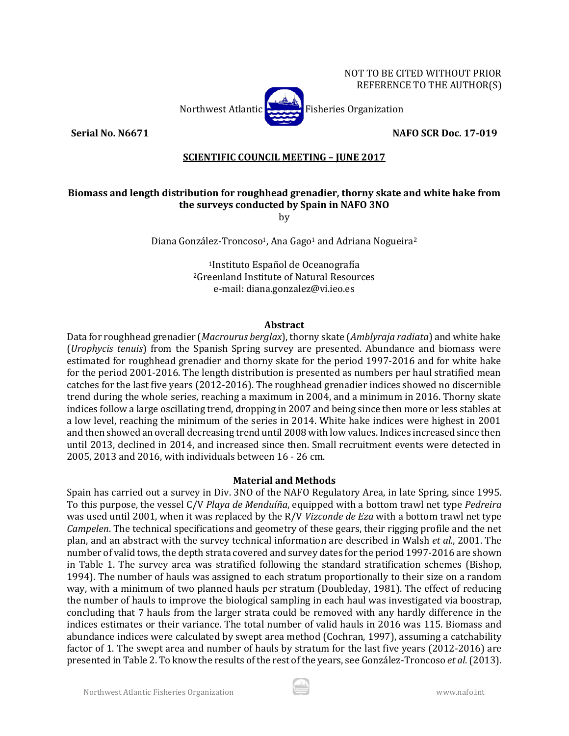NOT TO BE CITED WITHOUT PRIOR REFERENCE TO THE AUTHOR(S)



**Serial No. N6671 NAFO SCR Doc. 17-019**

## **SCIENTIFIC COUNCIL MEETING – JUNE 2017**

# **Biomass and length distribution for roughhead grenadier, thorny skate and white hake from the surveys conducted by Spain in NAFO 3NO**

by

Diana González-Troncoso<sup>1</sup>, Ana Gago<sup>1</sup> and Adriana Nogueira<sup>2</sup>

1Instituto Español de Oceanografía 2Greenland Institute of Natural Resources e-mail: diana.gonzalez@vi.ieo.es

#### **Abstract**

Data for roughhead grenadier (*Macrourus berglax*), thorny skate (*Amblyraja radiata*) and white hake (*Urophycis tenuis*) from the Spanish Spring survey are presented. Abundance and biomass were estimated for roughhead grenadier and thorny skate for the period 1997-2016 and for white hake for the period 2001-2016. The length distribution is presented as numbers per haul stratified mean catches for the last five years (2012-2016). The roughhead grenadier indices showed no discernible trend during the whole series, reaching a maximum in 2004, and a minimum in 2016. Thorny skate indices follow a large oscillating trend, dropping in 2007 and being since then more or less stables at a low level, reaching the minimum of the series in 2014. White hake indices were highest in 2001 and then showed an overall decreasing trend until 2008 with low values. Indices increased since then until 2013, declined in 2014, and increased since then. Small recruitment events were detected in 2005, 2013 and 2016, with individuals between 16 - 26 cm.

#### **Material and Methods**

Spain has carried out a survey in Div. 3NO of the NAFO Regulatory Area, in late Spring, since 1995. To this purpose, the vessel C/V *Playa de Menduíña*, equipped with a bottom trawl net type *Pedreira* was used until 2001, when it was replaced by the R/V *Vizconde de Eza* with a bottom trawl net type *Campelen*. The technical specifications and geometry of these gears, their rigging profile and the net plan, and an abstract with the survey technical information are described in Walsh *et al.*, 2001. The number of valid tows, the depth strata covered and survey dates for the period 1997-2016 are shown in Table 1. The survey area was stratified following the standard stratification schemes (Bishop, 1994). The number of hauls was assigned to each stratum proportionally to their size on a random way, with a minimum of two planned hauls per stratum (Doubleday, 1981). The effect of reducing the number of hauls to improve the biological sampling in each haul was investigated via boostrap, concluding that 7 hauls from the larger strata could be removed with any hardly difference in the indices estimates or their variance. The total number of valid hauls in 2016 was 115. Biomass and abundance indices were calculated by swept area method (Cochran, 1997), assuming a catchability factor of 1. The swept area and number of hauls by stratum for the last five years (2012-2016) are presented in Table 2. To know the results of the rest of the years, see González-Troncoso *et al.*(2013).

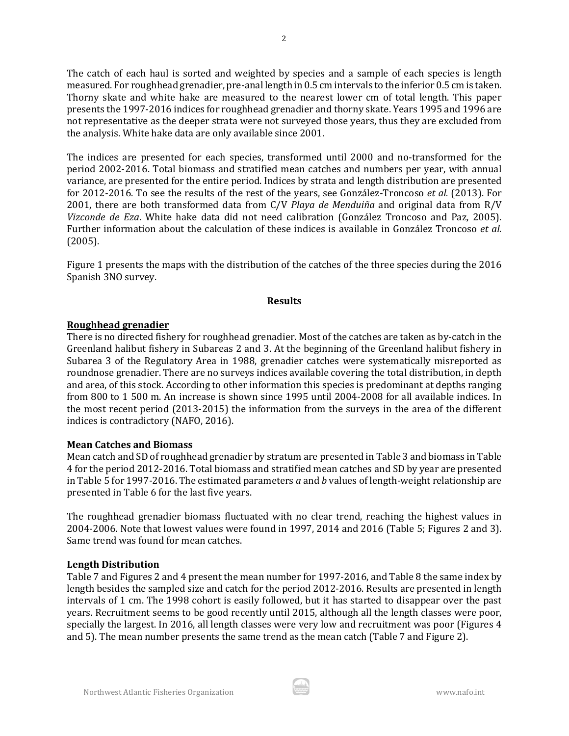The catch of each haul is sorted and weighted by species and a sample of each species is length measured. For roughhead grenadier, pre-anal length in 0.5 cm intervals to the inferior 0.5 cm is taken. Thorny skate and white hake are measured to the nearest lower cm of total length. This paper presents the 1997-2016 indices for roughhead grenadier and thorny skate. Years 1995 and 1996 are not representative as the deeper strata were not surveyed those years, thus they are excluded from the analysis. White hake data are only available since 2001.

The indices are presented for each species, transformed until 2000 and no-transformed for the period 2002-2016. Total biomass and stratified mean catches and numbers per year, with annual variance, are presented for the entire period. Indices by strata and length distribution are presented for 2012-2016. To see the results of the rest of the years, see González-Troncoso *et al.* (2013). For 2001, there are both transformed data from C/V *Playa de Menduiña* and original data from R/V *Vizconde de Eza*. White hake data did not need calibration (González Troncoso and Paz, 2005). Further information about the calculation of these indices is available in González Troncoso *et al.* (2005).

Figure 1 presents the maps with the distribution of the catches of the three species during the 2016 Spanish 3NO survey.

#### **Results**

## **Roughhead grenadier**

There is no directed fishery for roughhead grenadier. Most of the catches are taken as by-catch in the Greenland halibut fishery in Subareas 2 and 3. At the beginning of the Greenland halibut fishery in Subarea 3 of the Regulatory Area in 1988, grenadier catches were systematically misreported as roundnose grenadier. There are no surveys indices available covering the total distribution, in depth and area, of this stock. According to other information this species is predominant at depths ranging from 800 to 1 500 m. An increase is shown since 1995 until 2004-2008 for all available indices. In the most recent period (2013-2015) the information from the surveys in the area of the different indices is contradictory (NAFO, 2016).

## **Mean Catches and Biomass**

Mean catch and SD of roughhead grenadier by stratum are presented in Table 3 and biomass in Table 4 for the period 2012-2016. Total biomass and stratified mean catches and SD by year are presented in Table 5 for 1997-2016. The estimated parameters *a* and *b* values of length-weight relationship are presented in Table 6 for the last five years.

The roughhead grenadier biomass fluctuated with no clear trend, reaching the highest values in 2004-2006. Note that lowest values were found in 1997, 2014 and 2016 (Table 5; Figures 2 and 3). Same trend was found for mean catches.

## **Length Distribution**

Table 7 and Figures 2 and 4 present the mean number for 1997-2016, and Table 8 the same index by length besides the sampled size and catch for the period 2012-2016. Results are presented in length intervals of 1 cm. The 1998 cohort is easily followed, but it has started to disappear over the past years. Recruitment seems to be good recently until 2015, although all the length classes were poor, specially the largest. In 2016, all length classes were very low and recruitment was poor (Figures 4 and 5). The mean number presents the same trend as the mean catch (Table 7 and Figure 2).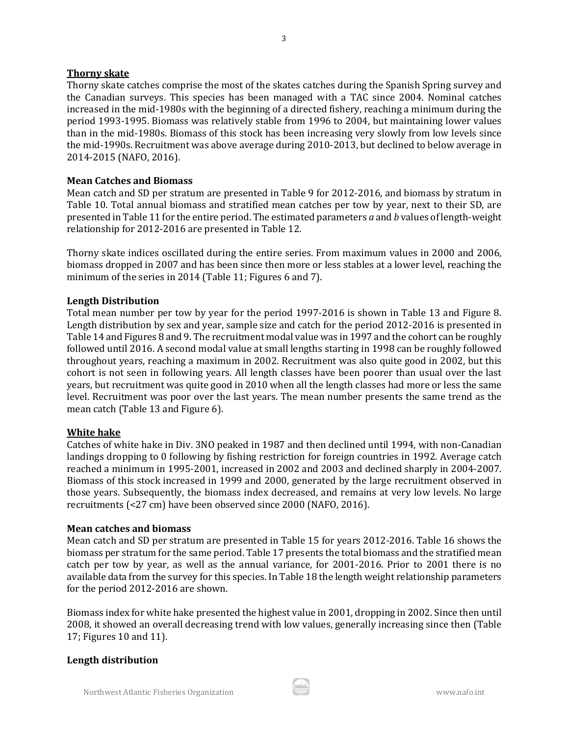#### **Thorny skate**

Thorny skate catches comprise the most of the skates catches during the Spanish Spring survey and the Canadian surveys. This species has been managed with a TAC since 2004. Nominal catches increased in the mid-1980s with the beginning of a directed fishery, reaching a minimum during the period 1993-1995. Biomass was relatively stable from 1996 to 2004, but maintaining lower values than in the mid-1980s. Biomass of this stock has been increasing very slowly from low levels since the mid-1990s. Recruitment was above average during 2010-2013, but declined to below average in 2014-2015 (NAFO, 2016).

#### **Mean Catches and Biomass**

Mean catch and SD per stratum are presented in Table 9 for 2012-2016, and biomass by stratum in Table 10. Total annual biomass and stratified mean catches per tow by year, next to their SD, are presented in Table 11 for the entire period. The estimated parameters *a* and *b* values of length-weight relationship for 2012-2016 are presented in Table 12.

Thorny skate indices oscillated during the entire series. From maximum values in 2000 and 2006, biomass dropped in 2007 and has been since then more or less stables at a lower level, reaching the minimum of the series in 2014 (Table 11; Figures 6 and 7).

#### **Length Distribution**

Total mean number per tow by year for the period 1997-2016 is shown in Table 13 and Figure 8. Length distribution by sex and year, sample size and catch for the period 2012-2016 is presented in Table 14 and Figures 8 and 9. The recruitment modal value was in 1997 and the cohort can be roughly followed until 2016. A second modal value at small lengths starting in 1998 can be roughly followed throughout years, reaching a maximum in 2002. Recruitment was also quite good in 2002, but this cohort is not seen in following years. All length classes have been poorer than usual over the last years, but recruitment was quite good in 2010 when all the length classes had more or less the same level. Recruitment was poor over the last years. The mean number presents the same trend as the mean catch (Table 13 and Figure 6).

#### **White hake**

Catches of white hake in Div. 3NO peaked in 1987 and then declined until 1994, with non-Canadian landings dropping to 0 following by fishing restriction for foreign countries in 1992. Average catch reached a minimum in 1995-2001, increased in 2002 and 2003 and declined sharply in 2004-2007. Biomass of this stock increased in 1999 and 2000, generated by the large recruitment observed in those years. Subsequently, the biomass index decreased, and remains at very low levels. No large recruitments (<27 cm) have been observed since 2000 (NAFO, 2016).

#### **Mean catches and biomass**

Mean catch and SD per stratum are presented in Table 15 for years 2012-2016. Table 16 shows the biomass per stratum for the same period. Table 17 presents the total biomass and the stratified mean catch per tow by year, as well as the annual variance, for 2001-2016. Prior to 2001 there is no available data from the survey for this species. In Table 18 the length weight relationship parameters for the period 2012-2016 are shown.

Biomass index for white hake presented the highest value in 2001, dropping in 2002. Since then until 2008, it showed an overall decreasing trend with low values, generally increasing since then (Table 17; Figures 10 and 11).

#### **Length distribution**

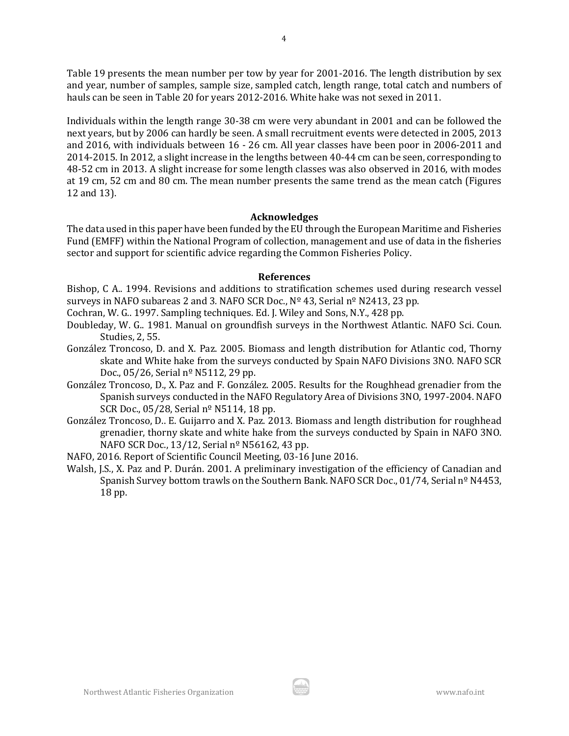Table 19 presents the mean number per tow by year for 2001-2016. The length distribution by sex and year, number of samples, sample size, sampled catch, length range, total catch and numbers of hauls can be seen in Table 20 for years 2012-2016. White hake was not sexed in 2011.

Individuals within the length range 30-38 cm were very abundant in 2001 and can be followed the next years, but by 2006 can hardly be seen. A small recruitment events were detected in 2005, 2013 and 2016, with individuals between 16 - 26 cm. All year classes have been poor in 2006-2011 and 2014-2015. In 2012, a slight increase in the lengths between 40-44 cm can be seen, corresponding to 48-52 cm in 2013. A slight increase for some length classes was also observed in 2016, with modes at 19 cm, 52 cm and 80 cm. The mean number presents the same trend as the mean catch (Figures 12 and 13).

#### **Acknowledges**

The data used in this paper have been funded by the EU through the European Maritime and Fisheries Fund (EMFF) within the National Program of collection, management and use of data in the fisheries sector and support for scientific advice regarding the Common Fisheries Policy.

#### **References**

Bishop, C A.. 1994. Revisions and additions to stratification schemes used during research vessel surveys in NAFO subareas 2 and 3*.* NAFO SCR Doc., Nº 43, Serial nº N2413, 23 pp.

Cochran, W. G.. 1997. Sampling techniques. Ed. J. Wiley and Sons, N.Y., 428 pp.

- Doubleday, W. G.. 1981. Manual on groundfish surveys in the Northwest Atlantic. NAFO Sci. Coun. Studies, 2, 55.
- González Troncoso, D. and X. Paz. 2005. Biomass and length distribution for Atlantic cod, Thorny skate and White hake from the surveys conducted by Spain NAFO Divisions 3NO. NAFO SCR Doc., 05/26, Serial nº N5112, 29 pp.
- González Troncoso, D., X. Paz and F. González. 2005. Results for the Roughhead grenadier from the Spanish surveys conducted in the NAFO Regulatory Area of Divisions 3NO, 1997-2004. NAFO SCR Doc., 05/28, Serial nº N5114, 18 pp.
- González Troncoso, D.. E. Guijarro and X. Paz. 2013. Biomass and length distribution for roughhead grenadier, thorny skate and white hake from the surveys conducted by Spain in NAFO 3NO. NAFO SCR Doc., 13/12, Serial nº N56162, 43 pp.
- NAFO, 2016. Report of Scientific Council Meeting, 03-16 June 2016.
- Walsh, J.S., X. Paz and P. Durán. 2001. A preliminary investigation of the efficiency of Canadian and Spanish Survey bottom trawls on the Southern Bank. NAFO SCR Doc., 01/74, Serial nº N4453, 18 pp.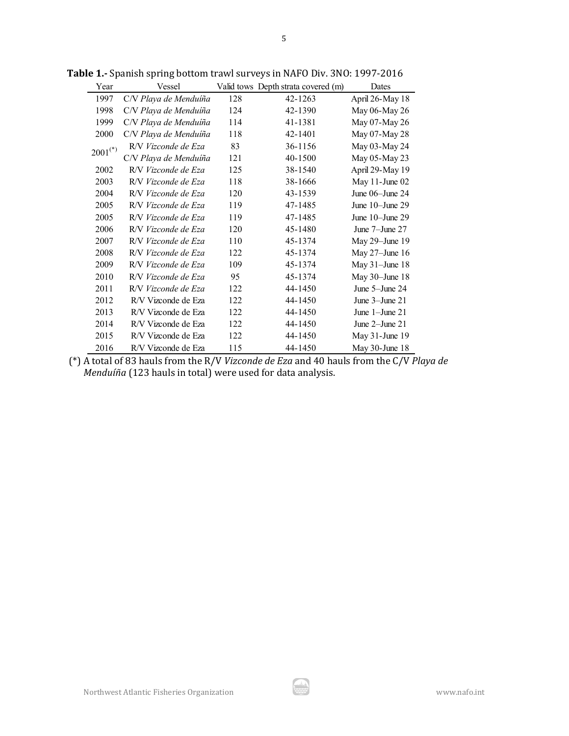| Year         | Vessel                |     | Valid tows Depth strata covered (m) | Dates                |
|--------------|-----------------------|-----|-------------------------------------|----------------------|
| 1997         | C/V Playa de Menduíña | 128 | 42-1263                             | April 26-May 18      |
| 1998         | C/V Playa de Menduíña | 124 | 42-1390                             | May 06-May 26        |
| 1999         | C/V Playa de Menduíña | 114 | 41-1381                             | May 07-May 26        |
| 2000         | C/V Playa de Menduíña | 118 | 42-1401                             | May 07-May 28        |
| $2001^{(*)}$ | R/V Vizconde de Eza   | 83  | 36-1156                             | May 03-May 24        |
|              | C/V Playa de Menduíña | 121 | 40-1500                             | May 05-May 23        |
| 2002         | R/V Vizconde de Eza   | 125 | 38-1540                             | April 29-May 19      |
| 2003         | R/V Vizconde de Eza   | 118 | 38-1666                             | May 11-June 02       |
| 2004         | R/V Vizconde de Eza   | 120 | 43-1539                             | June 06-June 24      |
| 2005         | R/V Vizconde de Eza   | 119 | 47-1485                             | June $10$ -June $29$ |
| 2005         | R/V Vizconde de Eza   | 119 | 47-1485                             | June $10$ -June $29$ |
| 2006         | R/V Vizconde de Eza   | 120 | 45-1480                             | June 7-June 27       |
| 2007         | R/V Vizconde de Eza   | 110 | 45-1374                             | May 29-June 19       |
| 2008         | R/V Vizconde de Eza   | 122 | 45-1374                             | May $27$ –June 16    |
| 2009         | R/V Vizconde de Eza   | 109 | 45-1374                             | May $31$ -June 18    |
| 2010         | R/V Vizconde de Eza   | 95  | 45-1374                             | May 30-June 18       |
| 2011         | R/V Vizconde de Eza   | 122 | 44-1450                             | June 5-June 24       |
| 2012         | R/V Vizconde de Eza   | 122 | 44-1450                             | June $3$ -June $21$  |
| 2013         | R/V Vizconde de Eza   | 122 | 44-1450                             | June $1$ -June $21$  |
| 2014         | R/V Vizconde de Eza   | 122 | 44-1450                             | June $2$ -June $21$  |
| 2015         | R/V Vizconde de Eza   | 122 | 44-1450                             | May 31-June 19       |
| 2016         | R/V Vizconde de Eza   | 115 | 44-1450                             | May 30-June 18       |

**Table 1.-** Spanish spring bottom trawl surveys in NAFO Div. 3NO: 1997-2016

(\*) A total of 83 hauls from the R/V *Vizconde de Eza* and 40 hauls from the C/V *Playa de Menduíña* (123 hauls in total) were used for data analysis.

ار ش.<br>-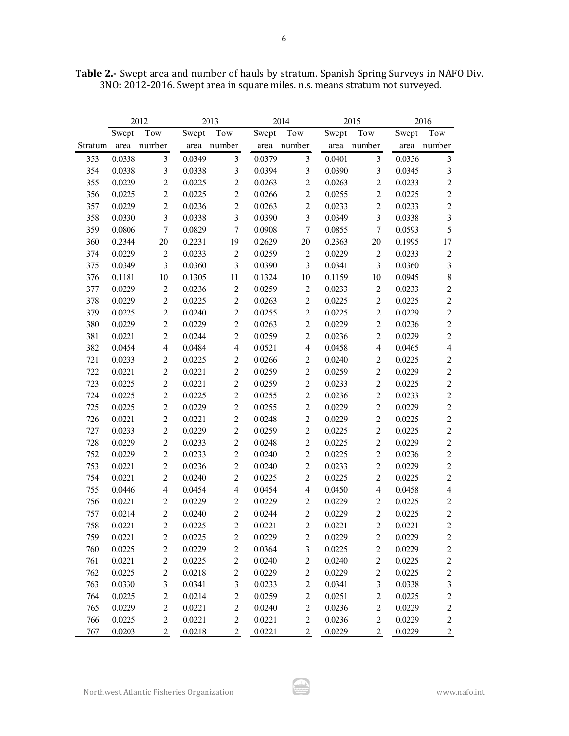| Table 2.- Swept area and number of hauls by stratum. Spanish Spring Surveys in NAFO Div. |  |
|------------------------------------------------------------------------------------------|--|
| 3NO: 2012-2016. Swept area in square miles. n.s. means stratum not surveyed.             |  |

|         |        | 2012                    |        | 2013                    |        | 2014                     |        | 2015           | 2016   |                         |  |
|---------|--------|-------------------------|--------|-------------------------|--------|--------------------------|--------|----------------|--------|-------------------------|--|
|         | Swept  | Tow                     | Swept  | Tow                     | Swept  | Tow                      | Swept  | Tow            | Swept  | Tow                     |  |
| Stratum | area   | number                  | area   | number                  | area   | number                   | area   | number         | area   | number                  |  |
| 353     | 0.0338 | 3                       | 0.0349 | $\mathfrak{Z}$          | 0.0379 | $\mathfrak{Z}$           | 0.0401 | $\mathfrak{Z}$ | 0.0356 | $\mathfrak{Z}$          |  |
| 354     | 0.0338 | $\overline{\mathbf{3}}$ | 0.0338 | $\mathfrak{Z}$          | 0.0394 | $\overline{\mathbf{3}}$  | 0.0390 | 3              | 0.0345 | $\mathfrak{Z}$          |  |
| 355     | 0.0229 | $\overline{c}$          | 0.0225 | $\overline{c}$          | 0.0263 | $\sqrt{2}$               | 0.0263 | $\sqrt{2}$     | 0.0233 | $\sqrt{2}$              |  |
| 356     | 0.0225 | $\overline{c}$          | 0.0225 | $\overline{c}$          | 0.0266 | $\overline{c}$           | 0.0255 | $\overline{2}$ | 0.0225 | $\sqrt{2}$              |  |
| 357     | 0.0229 | $\overline{c}$          | 0.0236 | $\overline{2}$          | 0.0263 | $\overline{c}$           | 0.0233 | $\overline{2}$ | 0.0233 | $\overline{2}$          |  |
| 358     | 0.0330 | $\overline{\mathbf{3}}$ | 0.0338 | $\overline{3}$          | 0.0390 | $\overline{\mathbf{3}}$  | 0.0349 | $\overline{3}$ | 0.0338 | $\overline{3}$          |  |
| 359     | 0.0806 | $\overline{7}$          | 0.0829 | $\overline{7}$          | 0.0908 | $\overline{7}$           | 0.0855 | $\overline{7}$ | 0.0593 | 5                       |  |
| 360     | 0.2344 | 20                      | 0.2231 | 19                      | 0.2629 | 20                       | 0.2363 | $20\,$         | 0.1995 | 17                      |  |
| 374     | 0.0229 | $\mathfrak{2}$          | 0.0233 | $\sqrt{2}$              | 0.0259 | $\sqrt{2}$               | 0.0229 | $\sqrt{2}$     | 0.0233 | $\mathbf{2}$            |  |
| 375     | 0.0349 | 3                       | 0.0360 | $\overline{3}$          | 0.0390 | 3                        | 0.0341 | $\overline{3}$ | 0.0360 | $\overline{3}$          |  |
| 376     | 0.1181 | 10                      | 0.1305 | 11                      | 0.1324 | 10                       | 0.1159 | 10             | 0.0945 | $\,8\,$                 |  |
| 377     | 0.0229 | $\sqrt{2}$              | 0.0236 | $\overline{2}$          | 0.0259 | $\sqrt{2}$               | 0.0233 | $\sqrt{2}$     | 0.0233 | $\overline{c}$          |  |
| 378     | 0.0229 | $\overline{2}$          | 0.0225 | $\overline{2}$          | 0.0263 | $\boldsymbol{2}$         | 0.0225 | $\overline{2}$ | 0.0225 | $\overline{2}$          |  |
| 379     | 0.0225 | $\overline{2}$          | 0.0240 | $\overline{2}$          | 0.0255 | $\overline{2}$           | 0.0225 | $\overline{2}$ | 0.0229 | $\boldsymbol{2}$        |  |
| 380     | 0.0229 | $\overline{2}$          | 0.0229 | $\overline{2}$          | 0.0263 | $\overline{c}$           | 0.0229 | $\overline{2}$ | 0.0236 | $\sqrt{2}$              |  |
| 381     | 0.0221 | $\overline{2}$          | 0.0244 | $\overline{2}$          | 0.0259 | $\overline{2}$           | 0.0236 | $\overline{2}$ | 0.0229 | $\sqrt{2}$              |  |
| 382     | 0.0454 | $\overline{\mathbf{4}}$ | 0.0484 | $\overline{\mathbf{4}}$ | 0.0521 | 4                        | 0.0458 | $\overline{4}$ | 0.0465 | $\overline{4}$          |  |
| 721     | 0.0233 | $\sqrt{2}$              | 0.0225 | $\sqrt{2}$              | 0.0266 | $\overline{c}$           | 0.0240 | $\overline{2}$ | 0.0225 | $\sqrt{2}$              |  |
| 722     | 0.0221 | $\sqrt{2}$              | 0.0221 | $\overline{2}$          | 0.0259 | $\overline{2}$           | 0.0259 | $\overline{2}$ | 0.0229 | $\overline{c}$          |  |
| 723     | 0.0225 | $\sqrt{2}$              | 0.0221 | $\overline{2}$          | 0.0259 | $\overline{2}$           | 0.0233 | $\overline{2}$ | 0.0225 | $\sqrt{2}$              |  |
| 724     | 0.0225 | $\overline{2}$          | 0.0225 | $\overline{2}$          | 0.0255 | $\overline{2}$           | 0.0236 | $\overline{2}$ | 0.0233 | $\overline{c}$          |  |
| 725     | 0.0225 | $\overline{c}$          | 0.0229 | $\overline{2}$          | 0.0255 | $\overline{2}$           | 0.0229 | $\overline{2}$ | 0.0229 | $\overline{c}$          |  |
| 726     | 0.0221 | $\overline{c}$          | 0.0221 | $\overline{c}$          | 0.0248 | $\overline{c}$           | 0.0229 | $\overline{2}$ | 0.0225 | $\overline{c}$          |  |
| 727     | 0.0233 | $\overline{c}$          | 0.0229 | $\overline{2}$          | 0.0259 | $\overline{2}$           | 0.0225 | $\overline{2}$ | 0.0225 | $\overline{c}$          |  |
| 728     | 0.0229 | $\overline{2}$          | 0.0233 | $\overline{c}$          | 0.0248 | $\overline{c}$           | 0.0225 | $\overline{2}$ | 0.0229 | $\overline{c}$          |  |
| 752     | 0.0229 | $\overline{c}$          | 0.0233 | $\overline{2}$          | 0.0240 | $\overline{2}$           | 0.0225 | $\overline{2}$ | 0.0236 | $\overline{c}$          |  |
| 753     | 0.0221 | $\overline{c}$          | 0.0236 | $\overline{c}$          | 0.0240 | $\overline{c}$           | 0.0233 | $\overline{2}$ | 0.0229 | $\overline{c}$          |  |
| 754     | 0.0221 | $\overline{c}$          | 0.0240 | $\overline{2}$          | 0.0225 | $\overline{2}$           | 0.0225 | $\overline{2}$ | 0.0225 | $\sqrt{2}$              |  |
| 755     | 0.0446 | $\overline{4}$          | 0.0454 | $\overline{4}$          | 0.0454 | $\overline{\mathcal{A}}$ | 0.0450 | $\overline{4}$ | 0.0458 | $\overline{\mathbf{4}}$ |  |
| 756     | 0.0221 | $\overline{2}$          | 0.0229 | $\overline{2}$          | 0.0229 | $\overline{2}$           | 0.0229 | $\overline{2}$ | 0.0225 | $\sqrt{2}$              |  |
| 757     | 0.0214 | $\overline{c}$          | 0.0240 | $\overline{c}$          | 0.0244 | $\overline{c}$           | 0.0229 | $\sqrt{2}$     | 0.0225 | $\sqrt{2}$              |  |
| 758     | 0.0221 | $\overline{2}$          | 0.0225 | $\overline{2}$          | 0.0221 | $\overline{2}$           | 0.0221 | $\overline{2}$ | 0.0221 | $\overline{c}$          |  |
| 759     | 0.0221 | $\boldsymbol{2}$        | 0.0225 | $\boldsymbol{2}$        | 0.0229 | $\sqrt{2}$               | 0.0229 | $\mathbf{2}$   | 0.0229 | $\overline{c}$          |  |
| 760     | 0.0225 | $\overline{c}$          | 0.0229 | $\overline{c}$          | 0.0364 | $\overline{\mathbf{3}}$  | 0.0225 | $\sqrt{2}$     | 0.0229 | $\overline{c}$          |  |
| 761     | 0.0221 | $\sqrt{2}$              | 0.0225 | $\sqrt{2}$              | 0.0240 | $\overline{2}$           | 0.0240 | $\sqrt{2}$     | 0.0225 | $\sqrt{2}$              |  |
| 762     | 0.0225 | $\sqrt{2}$              | 0.0218 | $\sqrt{2}$              | 0.0229 | $\mathfrak{2}$           | 0.0229 | $\sqrt{2}$     | 0.0225 | $\overline{c}$          |  |
| 763     | 0.0330 | 3                       | 0.0341 | $\mathfrak{Z}$          | 0.0233 | $\overline{2}$           | 0.0341 | 3              | 0.0338 | $\mathfrak{Z}$          |  |
| 764     | 0.0225 | $\overline{c}$          | 0.0214 | $\overline{c}$          | 0.0259 | $\mathbf{2}$             | 0.0251 | $\overline{c}$ | 0.0225 | $\overline{c}$          |  |
| 765     | 0.0229 | $\overline{c}$          | 0.0221 | $\overline{c}$          | 0.0240 | $\overline{2}$           | 0.0236 | $\overline{c}$ | 0.0229 | $\overline{c}$          |  |
| 766     | 0.0225 | $\overline{c}$          | 0.0221 | $\overline{c}$          | 0.0221 | $\overline{2}$           | 0.0236 | $\overline{c}$ | 0.0229 | $\overline{c}$          |  |
| 767     | 0.0203 | $\overline{c}$          | 0.0218 | $\overline{c}$          | 0.0221 | $\overline{2}$           | 0.0229 | $\overline{c}$ | 0.0229 | $\overline{2}$          |  |

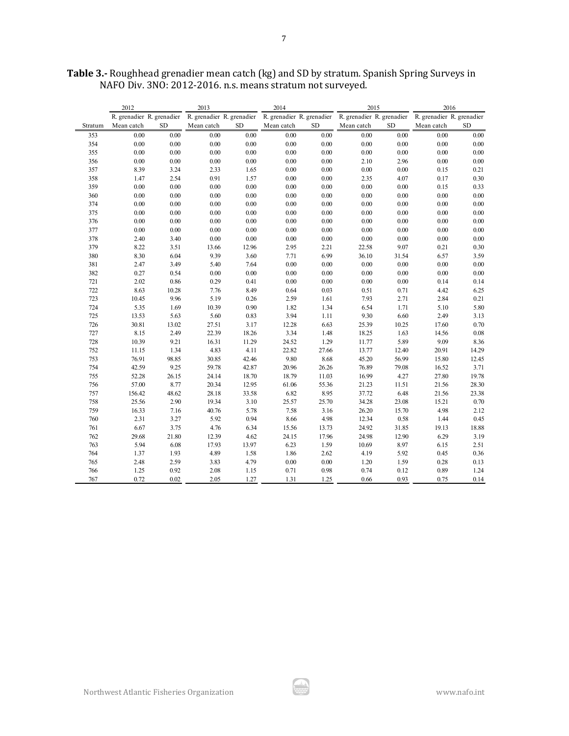|         | 2012                      |           | 2013                      |           | 2014       |           | 2015                                                                          |           | 2016       |           |  |
|---------|---------------------------|-----------|---------------------------|-----------|------------|-----------|-------------------------------------------------------------------------------|-----------|------------|-----------|--|
|         | R. grenadier R. grenadier |           | R. grenadier R. grenadier |           |            |           | R. grenadier R. grenadier R. grenadier R. grenadier R. grenadier R. grenadier |           |            |           |  |
| Stratum | Mean catch                | <b>SD</b> | Mean catch                | <b>SD</b> | Mean catch | <b>SD</b> | Mean catch                                                                    | <b>SD</b> | Mean catch | <b>SD</b> |  |
| 353     | 0.00                      | 0.00      | 0.00                      | 0.00      | $0.00\,$   | $0.00\,$  | $0.00\,$                                                                      | $0.00\,$  | 0.00       | $0.00\,$  |  |
| 354     | 0.00                      | 0.00      | 0.00                      | 0.00      | 0.00       | 0.00      | 0.00                                                                          | 0.00      | 0.00       | $0.00\,$  |  |
| 355     | 0.00                      | $0.00\,$  | $0.00\,$                  | 0.00      | $0.00\,$   | 0.00      | $0.00\,$                                                                      | $0.00\,$  | $0.00\,$   | $0.00\,$  |  |
| 356     | 0.00                      | $0.00\,$  | $0.00\,$                  | $0.00\,$  | $0.00\,$   | $0.00\,$  | 2.10                                                                          | 2.96      | $0.00\,$   | $0.00\,$  |  |
| 357     | 8.39                      | 3.24      | 2.33                      | 1.65      | $0.00\,$   | 0.00      | $0.00\,$                                                                      | $0.00\,$  | 0.15       | 0.21      |  |
| 358     | 1.47                      | 2.54      | 0.91                      | 1.57      | $0.00\,$   | 0.00      | 2.35                                                                          | 4.07      | 0.17       | 0.30      |  |
| 359     | 0.00                      | 0.00      | 0.00                      | 0.00      | $0.00\,$   | 0.00      | $0.00\,$                                                                      | 0.00      | 0.15       | 0.33      |  |
| 360     | 0.00                      | 0.00      | 0.00                      | $0.00\,$  | 0.00       | 0.00      | $0.00\,$                                                                      | 0.00      | $0.00\,$   | $0.00\,$  |  |
| 374     | 0.00                      | 0.00      | 0.00                      | 0.00      | 0.00       | 0.00      | $0.00\,$                                                                      | 0.00      | 0.00       | $0.00\,$  |  |
| 375     | 0.00                      | $0.00\,$  | $0.00\,$                  | $0.00\,$  | $0.00\,$   | $0.00\,$  | $0.00\,$                                                                      | $0.00\,$  | $0.00\,$   | $0.00\,$  |  |
| 376     | 0.00                      | $0.00\,$  | $0.00\,$                  | $0.00\,$  | 0.00       | 0.00      | $0.00\,$                                                                      | $0.00\,$  | 0.00       | $0.00\,$  |  |
| 377     | $0.00\,$                  | $0.00\,$  | $0.00\,$                  | $0.00\,$  | 0.00       | 0.00      | $0.00\,$                                                                      | $0.00\,$  | $0.00\,$   | $0.00\,$  |  |
| 378     | 2.40                      | 3.40      | $0.00\,$                  | $0.00\,$  | $0.00\,$   | $0.00\,$  | $0.00\,$                                                                      | $0.00\,$  | $0.00\,$   | $0.00\,$  |  |
| 379     | 8.22                      | 3.51      | 13.66                     | 12.96     | 2.95       | 2.21      | 22.58                                                                         | 9.07      | 0.21       | 0.30      |  |
| 380     | 8.30                      | 6.04      | 9.39                      | 3.60      | 7.71       | 6.99      | 36.10                                                                         | 31.54     | 6.57       | 3.59      |  |
| 381     | 2.47                      | 3.49      | 5.40                      | 7.64      | 0.00       | 0.00      | 0.00                                                                          | 0.00      | $0.00\,$   | $0.00\,$  |  |
| 382     | 0.27                      | 0.54      | $0.00\,$                  | $0.00\,$  | 0.00       | 0.00      | 0.00                                                                          | 0.00      | 0.00       | $0.00\,$  |  |
| 721     | 2.02                      | 0.86      | 0.29                      | 0.41      | 0.00       | 0.00      | 0.00                                                                          | 0.00      | 0.14       | 0.14      |  |
| 722     | 8.63                      | 10.28     | 7.76                      | 8.49      | 0.64       | 0.03      | $0.51\,$                                                                      | 0.71      | 4.42       | 6.25      |  |
| 723     | 10.45                     | 9.96      | 5.19                      | 0.26      | 2.59       | 1.61      | 7.93                                                                          | 2.71      | 2.84       | 0.21      |  |
| 724     | 5.35                      | 1.69      | 10.39                     | 0.90      | 1.82       | 1.34      | 6.54                                                                          | 1.71      | 5.10       | 5.80      |  |
| 725     | 13.53                     | 5.63      | 5.60                      | 0.83      | 3.94       | 1.11      | 9.30                                                                          | 6.60      | 2.49       | 3.13      |  |
| 726     | 30.81                     | 13.02     | 27.51                     | 3.17      | 12.28      | 6.63      | 25.39                                                                         | 10.25     | 17.60      | 0.70      |  |
| 727     | 8.15                      | 2.49      | 22.39                     | 18.26     | 3.34       | 1.48      | 18.25                                                                         | 1.63      | 14.56      | $0.08\,$  |  |
| 728     | 10.39                     | 9.21      | 16.31                     | 11.29     | 24.52      | 1.29      | 11.77                                                                         | 5.89      | 9.09       | 8.36      |  |
| 752     | 11.15                     | 1.34      | 4.83                      | 4.11      | 22.82      | 27.66     | 13.77                                                                         | 12.40     | 20.91      | 14.29     |  |
| 753     | 76.91                     | 98.85     | 30.85                     | 42.46     | 9.80       | 8.68      | 45.20                                                                         | 56.99     | 15.80      | 12.45     |  |
| 754     | 42.59                     | 9.25      | 59.78                     | 42.87     | 20.96      | 26.26     | 76.89                                                                         | 79.08     | 16.52      | 3.71      |  |
| 755     | 52.28                     | 26.15     | 24.14                     | 18.70     | 18.79      | 11.03     | 16.99                                                                         | 4.27      | 27.80      | 19.78     |  |
| 756     | 57.00                     | 8.77      | 20.34                     | 12.95     | 61.06      | 55.36     | 21.23                                                                         | 11.51     | 21.56      | 28.30     |  |
| 757     | 156.42                    | 48.62     | 28.18                     | 33.58     | 6.82       | 8.95      | 37.72                                                                         | 6.48      | 21.56      | 23.38     |  |
| 758     | 25.56                     | 2.90      | 19.34                     | 3.10      | 25.57      | 25.70     | 34.28                                                                         | 23.08     | 15.21      | 0.70      |  |
| 759     | 16.33                     | 7.16      | 40.76                     | 5.78      | 7.58       | 3.16      | 26.20                                                                         | 15.70     | 4.98       | 2.12      |  |
| 760     | 2.31                      | 3.27      | 5.92                      | 0.94      | 8.66       | 4.98      | 12.34                                                                         | 0.58      | 1.44       | 0.45      |  |
| 761     | 6.67                      | 3.75      | 4.76                      | 6.34      | 15.56      | 13.73     | 24.92                                                                         | 31.85     | 19.13      | 18.88     |  |
| 762     | 29.68                     | 21.80     | 12.39                     | 4.62      | 24.15      | 17.96     | 24.98                                                                         | 12.90     | 6.29       | 3.19      |  |
| 763     | 5.94                      | 6.08      | 17.93                     | 13.97     | 6.23       | 1.59      | 10.69                                                                         | 8.97      | 6.15       | 2.51      |  |
| 764     | 1.37                      | 1.93      | 4.89                      | 1.58      | 1.86       | 2.62      | 4.19                                                                          | 5.92      | 0.45       | 0.36      |  |
| 765     | 2.48                      | 2.59      | 3.83                      | 4.79      | 0.00       | 0.00      | 1.20                                                                          | 1.59      | 0.28       | 0.13      |  |
| 766     | 1.25                      | 0.92      | 2.08                      | 1.15      | 0.71       | 0.98      | 0.74                                                                          | 0.12      | 0.89       | 1.24      |  |
| 767     | 0.72                      | 0.02      | 2.05                      | 1.27      | 1.31       | 1.25      | 0.66                                                                          | 0.93      | 0.75       | 0.14      |  |

**Table 3.-** Roughhead grenadier mean catch (kg) and SD by stratum. Spanish Spring Surveys in NAFO Div. 3NO: 2012-2016. n.s. means stratum not surveyed.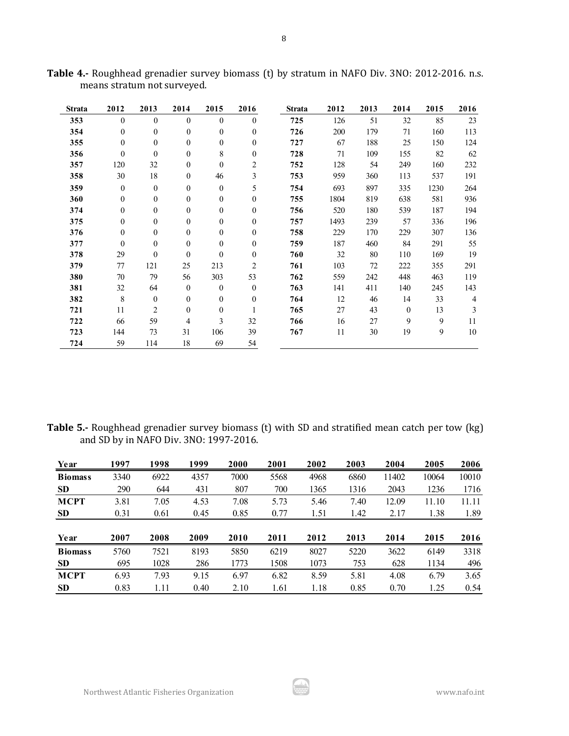| Strata | 2012         | 2013             | 2014             | 2015             | 2016             | <b>Strata</b> | 2012 | 2013 | 2014         | 2015 | 2016           |
|--------|--------------|------------------|------------------|------------------|------------------|---------------|------|------|--------------|------|----------------|
| 353    | $\theta$     | $\theta$         | $\theta$         | $\theta$         | $\theta$         | 725           | 126  | 51   | 32           | 85   | 23             |
| 354    | $\mathbf{0}$ | $\mathbf{0}$     | $\boldsymbol{0}$ | $\boldsymbol{0}$ | $\boldsymbol{0}$ | 726           | 200  | 179  | 71           | 160  | 113            |
| 355    | $\mathbf{0}$ | $\mathbf{0}$     | $\boldsymbol{0}$ | $\theta$         | $\boldsymbol{0}$ | 727           | 67   | 188  | 25           | 150  | 124            |
| 356    | $\mathbf{0}$ | $\mathbf{0}$     | $\mathbf{0}$     | 8                | $\mathbf{0}$     | 728           | 71   | 109  | 155          | 82   | 62             |
| 357    | 120          | 32               | $\boldsymbol{0}$ | $\theta$         | $\overline{2}$   | 752           | 128  | 54   | 249          | 160  | 232            |
| 358    | 30           | 18               | $\mathbf{0}$     | 46               | 3                | 753           | 959  | 360  | 113          | 537  | 191            |
| 359    | $\mathbf{0}$ | $\mathbf{0}$     | $\mathbf{0}$     | $\mathbf{0}$     | 5                | 754           | 693  | 897  | 335          | 1230 | 264            |
| 360    | $\theta$     | $\mathbf{0}$     | $\mathbf{0}$     | $\mathbf{0}$     | $\boldsymbol{0}$ | 755           | 1804 | 819  | 638          | 581  | 936            |
| 374    | $\mathbf{0}$ | $\mathbf{0}$     | $\mathbf{0}$     | $\mathbf{0}$     | $\mathbf{0}$     | 756           | 520  | 180  | 539          | 187  | 194            |
| 375    | $\theta$     | $\boldsymbol{0}$ | $\mathbf{0}$     | $\boldsymbol{0}$ | $\theta$         | 757           | 1493 | 239  | 57           | 336  | 196            |
| 376    | $\theta$     | $\mathbf{0}$     | $\mathbf{0}$     | $\mathbf{0}$     | $\theta$         | 758           | 229  | 170  | 229          | 307  | 136            |
| 377    | $\Omega$     | $\mathbf{0}$     | $\theta$         | $\mathbf{0}$     | $\mathbf{0}$     | 759           | 187  | 460  | 84           | 291  | 55             |
| 378    | 29           | $\mathbf{0}$     | $\theta$         | $\mathbf{0}$     | $\mathbf{0}$     | 760           | 32   | 80   | 110          | 169  | 19             |
| 379    | 77           | 121              | 25               | 213              | $\overline{2}$   | 761           | 103  | 72   | 222          | 355  | 291            |
| 380    | 70           | 79               | 56               | 303              | 53               | 762           | 559  | 242  | 448          | 463  | 119            |
| 381    | 32           | 64               | $\mathbf{0}$     | $\mathbf{0}$     | $\theta$         | 763           | 141  | 411  | 140          | 245  | 143            |
| 382    | 8            | $\mathbf{0}$     | $\mathbf{0}$     | $\mathbf{0}$     | $\mathbf{0}$     | 764           | 12   | 46   | 14           | 33   | $\overline{4}$ |
| 721    | 11           | $\overline{c}$   | $\mathbf{0}$     | $\mathbf{0}$     | 1                | 765           | 27   | 43   | $\mathbf{0}$ | 13   | $\overline{3}$ |
| 722    | 66           | 59               | 4                | 3                | 32               | 766           | 16   | 27   | 9            | 9    | 11             |
| 723    | 144          | 73               | 31               | 106              | 39               | 767           | 11   | 30   | 19           | 9    | $10\,$         |
| 724    | 59           | 114              | 18               | 69               | 54               |               |      |      |              |      |                |

**Table 4.-** Roughhead grenadier survey biomass (t) by stratum in NAFO Div. 3NO: 2012-2016. n.s. means stratum not surveyed.

**Table 5.-** Roughhead grenadier survey biomass (t) with SD and stratified mean catch per tow (kg) and SD by in NAFO Div. 3NO: 1997-2016.

| Year           | 1997 | 1998 | 1999 | 2000 | 2001 | 2002 | 2003 | 2004  | 2005  | 2006  |
|----------------|------|------|------|------|------|------|------|-------|-------|-------|
| <b>Biomass</b> | 3340 | 6922 | 4357 | 7000 | 5568 | 4968 | 6860 | 11402 | 10064 | 10010 |
| <b>SD</b>      | 290  | 644  | 431  | 807  | 700  | 1365 | 1316 | 2043  | 1236  | 1716  |
| <b>MCPT</b>    | 3.81 | 7.05 | 4.53 | 7.08 | 5.73 | 5.46 | 7.40 | 12.09 | 11.10 | 11.11 |
| <b>SD</b>      | 0.31 | 0.61 | 0.45 | 0.85 | 0.77 | 1.51 | 1.42 | 2.17  | 1.38  | 1.89  |
| Year           | 2007 | 2008 | 2009 | 2010 | 2011 | 2012 | 2013 | 2014  | 2015  | 2016  |
| <b>Biomass</b> | 5760 | 7521 | 8193 | 5850 | 6219 | 8027 | 5220 | 3622  | 6149  | 3318  |
| <b>SD</b>      | 695  | 1028 | 286  | 1773 | 1508 | 1073 | 753  | 628   | 1134  | 496   |
| <b>MCPT</b>    | 6.93 | 7.93 | 9.15 | 6.97 | 6.82 | 8.59 | 5.81 | 4.08  | 6.79  | 3.65  |
| <b>SD</b>      | 0.83 | 1.11 | 0.40 | 2.10 | 1.61 | 1.18 | 0.85 | 0.70  | 1.25  | 0.54  |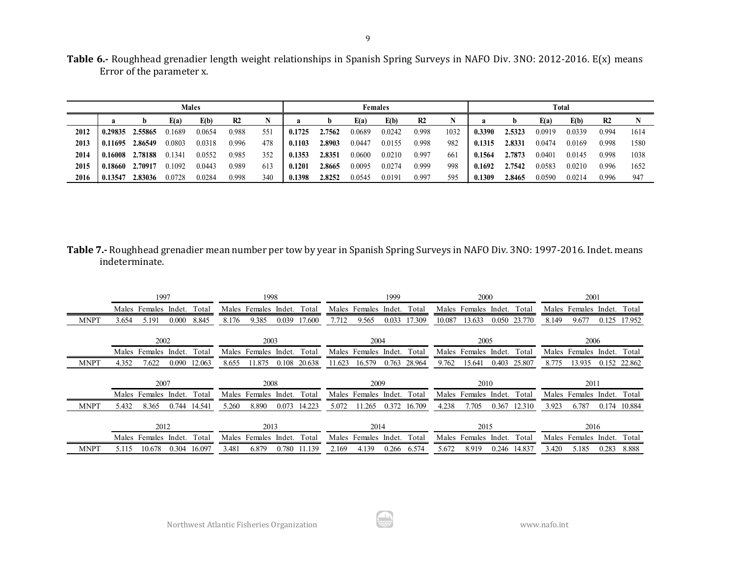| Table 6.- Roughhead grenadier length weight relationships in Spanish Spring Surveys in NAFO Div. 3NO: 2012-2016. E(x) means |  |  |  |
|-----------------------------------------------------------------------------------------------------------------------------|--|--|--|
| Error of the parameter x.                                                                                                   |  |  |  |

| <b>Males</b> |        |                                                     |                |     |        |        | <b>Females</b> |        |                |      |        |        | Total  |        |                |      |  |  |
|--------------|--------|-----------------------------------------------------|----------------|-----|--------|--------|----------------|--------|----------------|------|--------|--------|--------|--------|----------------|------|--|--|
| a            | E(a)   | E(b)                                                | R <sub>2</sub> |     | a      | b      | E(a)           | E(b)   | R <sub>2</sub> |      |        |        | E(a)   | E(b)   | R <sub>2</sub> |      |  |  |
| 0.29835      | 0.1689 | 0.0654                                              | 0.988          | 551 | 0.1725 | 2.7562 | 0.0689         | 0.0242 | 0.998          | 1032 | 0.3390 | 2.5323 | 0.0919 | 0.0339 | 0.994          | 1614 |  |  |
| 0.11695      | 0.0803 | 0.0318                                              | 0.996          | 478 | 0.1103 | 2.8903 | 0.0447         | 0.0155 | 0.998          | 982  | 0.1315 | 2.8331 | 0.0474 | 0.0169 | 0.998          | 1580 |  |  |
| 0.16008      | 0.1341 | 0.0552                                              | 0.985          | 352 | 0.1353 | 2.8351 | 0.0600         | 0.0210 | 0.997          | 661  | 0.1564 | 2.7873 | 0.0401 | 0.0145 | 0.998          | 1038 |  |  |
| 0.18660      | 0.1092 | 0.0443                                              | 0.989          | 613 | 0.1201 | 2.8665 | 0.0095         | 0.0274 | 0.999          | 998  | 0.1692 | 2.7542 | 0.0583 | 0.0210 | 0.996          | 1652 |  |  |
| 0.13547      | 0.0728 | 0.0284                                              | 0.998          | 340 | .1398  | 2.8252 | 0.0545         | 0.0191 | 0.997          | 595  | 0.1309 | 2.8465 | 0.0590 | 0.0214 | 0.996          | 947  |  |  |
|              |        | 2.55865<br>2.86549<br>2.78188<br>2.70917<br>2.83036 |                |     |        |        |                |        |                |      |        |        |        |        |                |      |  |  |

# **Table 7.-** Roughhead grenadier mean number per tow by year in Spanish Spring Surveys in NAFO Div. 3NO: 1997-2016. Indet. means indeterminate.

|             | 1997                              | 1998                               | 1999                                | 2000                                | 2001                               |  |  |
|-------------|-----------------------------------|------------------------------------|-------------------------------------|-------------------------------------|------------------------------------|--|--|
|             | Males Females Indet.<br>Total     | Males Females<br>Indet.<br>Total   | Males Females Indet.<br>Total       | Males Females Indet.<br>Total       | Males Females<br>Indet.<br>Total   |  |  |
| <b>MNPT</b> | 8.845<br>5.191<br>0.000<br>3.654  | 8.176<br>9.385<br>0.039<br>17.600  | 7.712<br>17.309<br>0.033<br>9.565   | 10.087<br>13.633<br>0.050<br>23.770 | 8.149<br>17.952<br>9.677<br>0.125  |  |  |
|             | 2002                              | 2003                               | 2004                                | 2005                                | 2006                               |  |  |
|             | Males Females Indet.<br>Total     | Males Females<br>Indet.<br>Total   | Males Females<br>Indet.<br>Total    | Males Females<br>Indet.<br>Total    | Total<br>Indet.<br>Males Females   |  |  |
| <b>MNPT</b> | 4.352<br>7.622<br>0.090<br>12.063 | 8.655<br>11.875<br>0.108<br>20.638 | 11.623<br>16.579<br>0.763<br>28.964 | 9.762<br>0.403<br>15.641<br>25.807  | 0.152<br>8.775<br>13.935<br>22.862 |  |  |
|             |                                   |                                    |                                     |                                     |                                    |  |  |
|             | 2007                              | 2008                               | 2009                                | 2010                                | 2011                               |  |  |
|             | Males Females Indet.<br>Total     | Males Females Indet.<br>Total      | Males Females Indet.<br>Total       | Males Females Indet.<br>Total       | Males Females Indet.<br>Total      |  |  |
| <b>MNPT</b> | 5.432<br>8.365<br>0.744<br>14.541 | 5.260<br>0.073<br>14.223<br>8.890  | 5.072<br>0.372<br>11.265<br>16.709  | 4.238<br>0.367<br>7.705<br>12.310   | 3.923<br>6.787<br>0.174<br>10.884  |  |  |
|             | 2012                              | 2013                               | 2014                                | 2015                                | 2016                               |  |  |
|             | Total<br>Males Females Indet.     | Total<br>Males Females<br>Indet.   | Total<br>Males Females<br>lndet.    | Total<br>Males Females<br>Indet.    | Total<br>Males Females<br>Indet.   |  |  |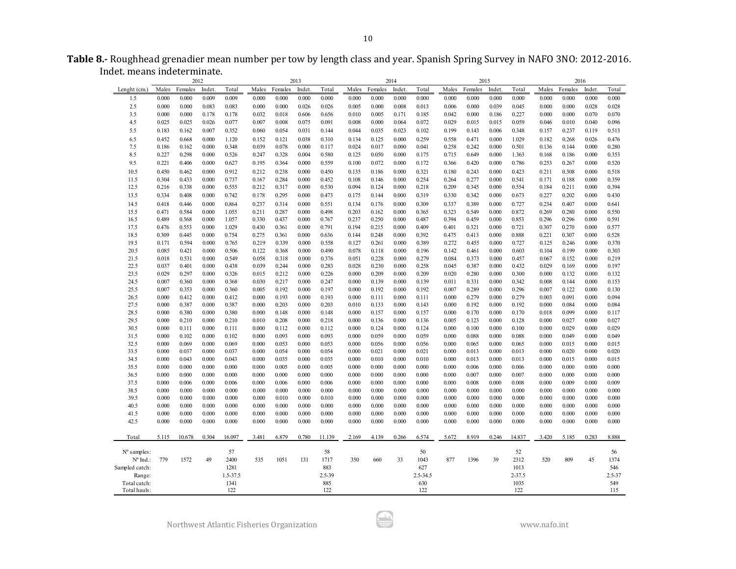|                             | Table 8.- Roughhead grenadier mean number per tow by length class and year. Spanish Spring Survey in NAFO 3NO: 2012-2016. |  |
|-----------------------------|---------------------------------------------------------------------------------------------------------------------------|--|
| Indet. means indeterminate. |                                                                                                                           |  |

|                |       |         | 2012   |          |       |         | 2013   |        |       |         | 2014   |          |       | 2015    |        |            |       |         | 2016   |        |
|----------------|-------|---------|--------|----------|-------|---------|--------|--------|-------|---------|--------|----------|-------|---------|--------|------------|-------|---------|--------|--------|
| Lenght (cm.)   | Males | Females | Indet. | Total    | Males | Females | Indet. | Total  | Males | Females | Indet. | Total    | Males | Females | Indet. | Total      | Males | Females | Indet. | Total  |
| 1.5            | 0.000 | 0.000   | 0.009  | 0.009    | 0.000 | 0.000   | 0.000  | 0.000  | 0.000 | 0.000   | 0.000  | 0.000    | 0.000 | 0.000   | 0.000  | 0.000      | 0.000 | 0.000   | 0.000  | 0.000  |
| 2.5            | 0.000 | 0.000   | 0.083  | 0.083    | 0.000 | 0.000   | 0.026  | 0.026  | 0.005 | 0.000   | 0.008  | 0.013    | 0.006 | 0.000   | 0.039  | 0.045      | 0.000 | 0.000   | 0.028  | 0.028  |
| 3.5            | 0.000 | 0.000   | 0.178  | 0.178    | 0.032 | 0.018   | 0.606  | 0.656  | 0.010 | 0.005   | 0.171  | 0.185    | 0.042 | 0.000   | 0.186  | 0.227      | 0.000 | 0.000   | 0.070  | 0.070  |
| 4.5            | 0.025 | 0.025   | 0.026  | 0.077    | 0.007 | 0.008   | 0.075  | 0.091  | 0.008 | 0.000   | 0.064  | 0.072    | 0.029 | 0.015   | 0.015  | 0.059      | 0.046 | 0.010   | 0.040  | 0.096  |
| 5.5            | 0.183 | 0.162   | 0.007  | 0.352    | 0.060 | 0.054   | 0.031  | 0.144  | 0.044 | 0.035   | 0.023  | 0.102    | 0.199 | 0.143   | 0.006  | 0.348      | 0.157 | 0.237   | 0.119  | 0.513  |
| 6.5            | 0.452 | 0.668   | 0.000  | 1.120    | 0.152 | 0.121   | 0.038  | 0.310  | 0.134 | 0.125   | 0.000  | 0.259    | 0.558 | 0.471   | 0.000  | 1.029      | 0.182 | 0.268   | 0.026  | 0.476  |
| 7.5            | 0.186 | 0.162   | 0.000  | 0.348    | 0.039 | 0.078   | 0.000  | 0.117  | 0.024 | 0.017   | 0.000  | 0.041    | 0.258 | 0.242   | 0.000  | 0.501      | 0.136 | 0.144   | 0.000  | 0.280  |
| 8.5            | 0.227 | 0.298   | 0.000  | 0.526    | 0.247 | 0.328   | 0.004  | 0.580  | 0.125 | 0.050   | 0.000  | 0.175    | 0.715 | 0.649   | 0.000  | 1.363      | 0.168 | 0.186   | 0.000  | 0.353  |
| 9.5            | 0.221 | 0.406   | 0.000  | 0.627    | 0.195 | 0.364   | 0.000  | 0.559  | 0.100 | 0.072   | 0.000  | 0.172    | 0.366 | 0.420   | 0.000  | 0.786      | 0.253 | 0.267   | 0.000  | 0.520  |
| 10.5           | 0.450 | 0.462   | 0.000  | 0.912    | 0.212 | 0.238   | 0.000  | 0.450  | 0.135 | 0.186   | 0.000  | 0.321    | 0.180 | 0.243   | 0.000  | 0.423      | 0.211 | 0.308   | 0.000  | 0.518  |
| 11.5           | 0.304 | 0.433   | 0.000  | 0.737    | 0.167 | 0.284   | 0.000  | 0.452  | 0.108 | 0.146   | 0.000  | 0.254    | 0.264 | 0.277   | 0.000  | 0.541      | 0.171 | 0.188   | 0.000  | 0.359  |
| 12.5           | 0.216 | 0.338   | 0.000  | 0.555    | 0.212 | 0.317   | 0.000  | 0.530  | 0.094 | 0.124   | 0.000  | 0.218    | 0.209 | 0.345   | 0.000  | 0.554      | 0.184 | 0.211   | 0.000  | 0.394  |
| 13.5           | 0.334 | 0.408   | 0.000  | 0.742    | 0.178 | 0.295   | 0.000  | 0.473  | 0.175 | 0.144   | 0.000  | 0.319    | 0.330 | 0.342   | 0.000  | 0.673      | 0.227 | 0.202   | 0.000  | 0.430  |
| 14.5           | 0.418 | 0.446   | 0.000  | 0.864    | 0.237 | 0.314   | 0.000  | 0.551  | 0.134 | 0.176   | 0.000  | 0.309    | 0.337 | 0.389   | 0.000  | 0.727      | 0.234 | 0.407   | 0.000  | 0.641  |
| 15.5           | 0.471 | 0.584   | 0.000  | 1.055    | 0.211 | 0.287   | 0.000  | 0.498  | 0.203 | 0.162   | 0.000  | 0.365    | 0.323 | 0.549   | 0.000  | 0.872      | 0.269 | 0.280   | 0.000  | 0.550  |
| 16.5           | 0.489 | 0.568   | 0.000  | 1.057    | 0.330 | 0.437   | 0.000  | 0.767  | 0.237 | 0.250   | 0.000  | 0.487    | 0.394 | 0.459   | 0.000  | 0.853      | 0.296 | 0.296   | 0.000  | 0.591  |
| 17.5           | 0.476 | 0.553   | 0.000  | 1.029    | 0.430 | 0.361   | 0.000  | 0.791  | 0.194 | 0.215   | 0.000  | 0.409    | 0.401 | 0.321   | 0.000  | 0.721      | 0.307 | 0.270   | 0.000  | 0.577  |
| 18.5           | 0.309 | 0.445   | 0.000  | 0.754    | 0.275 | 0.361   | 0.000  | 0.636  | 0.144 | 0.248   | 0.000  | 0.392    | 0.475 | 0.413   | 0.000  | 0.888      | 0.221 | 0.307   | 0.000  | 0.528  |
| 19.5           | 0.171 | 0.594   | 0.000  | 0.765    | 0.219 | 0.339   | 0.000  | 0.558  | 0.127 | 0.261   | 0.000  | 0.389    | 0.272 | 0.455   | 0.000  | 0.727      | 0.125 | 0.246   | 0.000  | 0.370  |
| 20.5           | 0.085 | 0.421   | 0.000  | 0.506    | 0.122 | 0.368   | 0.000  | 0.490  | 0.078 | 0.118   | 0.000  | 0.196    | 0.142 | 0.461   | 0.000  | 0.603      | 0.104 | 0.199   | 0.000  | 0.303  |
| 21.5           | 0.018 | 0.531   | 0.000  | 0.549    | 0.058 | 0.318   | 0.000  | 0.376  | 0.051 | 0.228   | 0.000  | 0.279    | 0.084 | 0.373   | 0.000  | 0.457      | 0.067 | 0.152   | 0.000  | 0.219  |
| 22.5           | 0.037 | 0.401   | 0.000  | 0.438    | 0.039 | 0.244   | 0.000  | 0.283  | 0.028 | 0.230   | 0.000  | 0.258    | 0.045 | 0.387   | 0.000  | 0.432      | 0.029 | 0.169   | 0.000  | 0.197  |
| 23.5           | 0.029 | 0.297   | 0.000  | 0.326    | 0.015 | 0.212   | 0.000  | 0.226  | 0.000 | 0.209   | 0.000  | 0.209    | 0.020 | 0.280   | 0.000  | 0.300      | 0.000 | 0.132   | 0.000  | 0.132  |
| 24.5           | 0.007 | 0.360   | 0.000  | 0.368    | 0.030 | 0.217   | 0.000  | 0.247  | 0.000 | 0.139   | 0.000  | 0.139    | 0.011 | 0.331   | 0.000  | 0.342      | 0.008 | 0.144   | 0.000  | 0.153  |
| 25.5           | 0.007 | 0.353   | 0.000  | 0.360    | 0.005 | 0.192   | 0.000  | 0.197  | 0.000 | 0.192   | 0.000  | 0.192    | 0.007 | 0.289   | 0.000  | 0.296      | 0.007 | 0.122   | 0.000  | 0.130  |
| 26.5           | 0.000 | 0.412   | 0.000  | 0.412    | 0.000 | 0.193   | 0.000  | 0.193  | 0.000 | 0.111   | 0.000  | 0.111    | 0.000 | 0.279   | 0.000  | 0.279      | 0.003 | 0.091   | 0.000  | 0.094  |
| 27.5           | 0.000 | 0.387   | 0.000  | 0.387    | 0.000 | 0.203   | 0.000  | 0.203  | 0.010 | 0.133   | 0.000  | 0.143    | 0.000 | 0.192   | 0.000  | 0.192      | 0.000 | 0.084   | 0.000  | 0.084  |
| 28.5           | 0.000 | 0.380   | 0.000  | 0.380    | 0.000 | 0.148   | 0.000  | 0.148  | 0.000 | 0.157   | 0.000  | 0.157    | 0.000 | 0.170   | 0.000  | 0.170      | 0.018 | 0.099   | 0.000  | 0.117  |
| 29.5           | 0.000 | 0.210   | 0.000  | 0.210    | 0.010 | 0.208   | 0.000  | 0.218  | 0.000 | 0.136   | 0.000  | 0.136    | 0.005 | 0.123   | 0.000  | 0.128      | 0.000 | 0.027   | 0.000  | 0.027  |
| 30.5           | 0.000 | 0.111   | 0.000  | 0.111    | 0.000 | 0.112   | 0.000  | 0.112  | 0.000 | 0.124   | 0.000  | 0.124    | 0.000 | 0.100   | 0.000  | 0.100      | 0.000 | 0.029   | 0.000  | 0.029  |
| 31.5           | 0.000 | 0.102   | 0.000  | 0.102    | 0.000 | 0.093   | 0.000  | 0.093  | 0.000 | 0.059   | 0.000  | 0.059    | 0.000 | 0.088   | 0.000  | 0.088      | 0.000 | 0.049   | 0.000  | 0.049  |
| 32.5           | 0.000 | 0.069   | 0.000  | 0.069    | 0.000 | 0.053   | 0.000  | 0.053  | 0.000 | 0.056   | 0.000  | 0.056    | 0.000 | 0.065   | 0.000  | 0.065      | 0.000 | 0.015   | 0.000  | 0.015  |
| 33.5           | 0.000 | 0.037   | 0.000  | 0.037    | 0.000 | 0.054   | 0.000  | 0.054  | 0.000 | 0.021   | 0.000  | 0.021    | 0.000 | 0.013   | 0.000  | 0.013      | 0.000 | 0.020   | 0.000  | 0.020  |
| 34.5           | 0.000 | 0.043   | 0.000  | 0.043    | 0.000 | 0.035   | 0.000  | 0.035  | 0.000 | 0.010   | 0.000  | 0.010    | 0.000 | 0.013   | 0.000  | 0.013      | 0.000 | 0.015   | 0.000  | 0.015  |
| 35.5           | 0.000 | 0.000   | 0.000  | 0.000    | 0.000 | 0.005   | 0.000  | 0.005  | 0.000 | 0.000   | 0.000  | 0.000    | 0.000 | 0.006   | 0.000  | 0.006      | 0.000 | 0.000   | 0.000  | 0.000  |
| 36.5           | 0.000 | 0.000   | 0.000  | 0.000    | 0.000 | 0.000   | 0.000  | 0.000  | 0.000 | 0.000   | 0.000  | 0.000    | 0.000 | 0.007   | 0.000  | 0.007      | 0.000 | 0.000   | 0.000  | 0.000  |
| 37.5           | 0.000 | 0.006   | 0.000  | 0.006    | 0.000 | 0.006   | 0.000  | 0.006  | 0.000 | 0.000   | 0.000  | 0.000    | 0.000 | 0.008   | 0.000  | 0.008      | 0.000 | 0.009   | 0.000  | 0.009  |
| 38.5           | 0.000 | 0.000   | 0.000  | 0.000    | 0.000 | 0.000   | 0.000  | 0.000  | 0.000 | 0.000   | 0.000  | 0.000    | 0.000 | 0.000   | 0.000  | 0.000      | 0.000 | 0.000   | 0.000  | 0.000  |
| 39.5           | 0.000 | 0.000   | 0.000  | 0.000    | 0.000 | 0.010   | 0.000  | 0.010  | 0.000 | 0.000   | 0.000  | 0.000    | 0.000 | 0.000   | 0.000  | 0.000      | 0.000 | 0.000   | 0.000  | 0.000  |
| 40.5           | 0.000 | 0.000   | 0.000  | 0.000    | 0.000 | 0.000   | 0.000  | 0.000  | 0.000 | 0.000   | 0.000  | 0.000    | 0.000 | 0.000   | 0.000  | 0.000      | 0.000 | 0.000   | 0.000  | 0.000  |
| 41.5           | 0.000 | 0.000   | 0.000  | 0.000    | 0.000 | 0.000   | 0.000  | 0.000  | 0.000 | 0.000   | 0.000  | 0.000    | 0.000 | 0.000   | 0.000  | 0.000      | 0.000 | 0.000   | 0.000  | 0.000  |
| 42.5           | 0.000 | 0.000   | 0.000  | 0.000    | 0.000 | 0.000   | 0.000  | 0.000  | 0.000 | 0.000   | 0.000  | 0.000    | 0.000 | 0.000   | 0.000  | 0.000      | 0.000 | 0.000   | 0.000  | 0.000  |
| Total          | 5.115 | 10.678  | 0.304  | 16.097   | 3.481 | 6.879   | 0.780  | 11.139 | 2.169 | 4.139   | 0.266  | 6.574    | 5.672 | 8.919   | 0.246  | 14.837     | 3.420 | 5.185   | 0.283  | 8.888  |
| $No$ samples:  |       |         |        | 57       |       |         |        | 58     |       |         |        | 50       |       |         |        | 52         |       |         |        | 56     |
| Nº Ind.:       | 779   | 1572    | 49     | 2400     | 535   | 1051    | 131    | 1717   | 350   | 660     | 33     | 1043     | 877   | 1396    | 39     | 2312       | 520   | 809     | 45     | 1374   |
| Sampled catch: |       |         |        | 1281     |       |         |        | 883    |       |         |        | 627      |       |         |        | 1013       |       |         |        | 546    |
| Range:         |       |         |        | 1.5-37.5 |       |         |        | 2.5-39 |       |         |        | 2.5-34.5 |       |         |        | $2 - 37.5$ |       |         |        | 2.5-37 |
| Total catch:   |       |         |        | 1341     |       |         |        | 885    |       |         |        | 630      |       |         |        | 1035       |       |         |        | 549    |
| Total hauls:   |       |         |        | 122      |       |         |        | 122    |       |         |        | 122      |       |         |        | 122        |       |         |        | 115    |

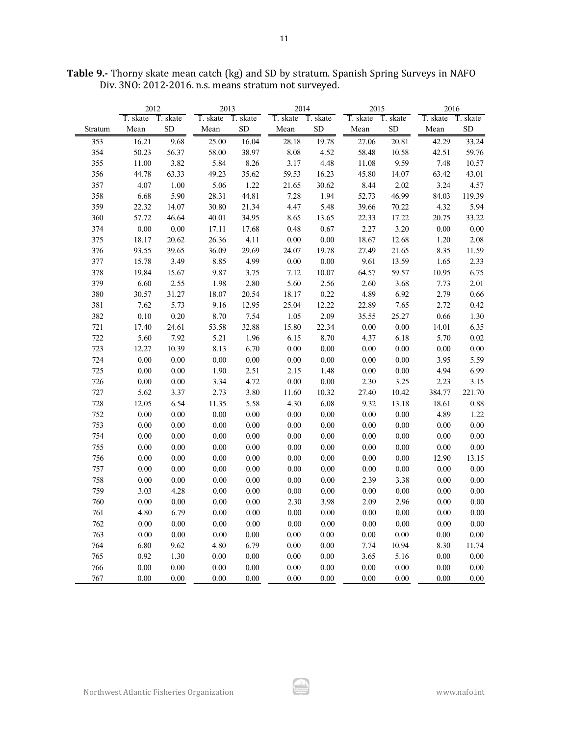|         | 2012     |          | 2013              |          | 2014              |          | 2015              |           | 2016     |          |  |
|---------|----------|----------|-------------------|----------|-------------------|----------|-------------------|-----------|----------|----------|--|
|         | T. skate | T. skate | T. skate T. skate |          | T. skate T. skate |          | T. skate T. skate |           | T. skate | T. skate |  |
| Stratum | Mean     | SD       | Mean              | SD       | Mean              | SD       | Mean              | <b>SD</b> | Mean     | SD       |  |
| 353     | 16.21    | 9.68     | 25.00             | 16.04    | 28.18             | 19.78    | 27.06             | 20.81     | 42.29    | 33.24    |  |
| 354     | 50.23    | 56.37    | 58.00             | 38.97    | 8.08              | 4.52     | 58.48             | 10.58     | 42.51    | 59.76    |  |
| 355     | 11.00    | 3.82     | 5.84              | 8.26     | 3.17              | 4.48     | 11.08             | 9.59      | 7.48     | 10.57    |  |
| 356     | 44.78    | 63.33    | 49.23             | 35.62    | 59.53             | 16.23    | 45.80             | 14.07     | 63.42    | 43.01    |  |
| 357     | 4.07     | $1.00\,$ | 5.06              | 1.22     | 21.65             | 30.62    | 8.44              | 2.02      | 3.24     | 4.57     |  |
| 358     | 6.68     | 5.90     | 28.31             | 44.81    | 7.28              | 1.94     | 52.73             | 46.99     | 84.03    | 119.39   |  |
| 359     | 22.32    | 14.07    | 30.80             | 21.34    | 4.47              | 5.48     | 39.66             | 70.22     | 4.32     | 5.94     |  |
| 360     | 57.72    | 46.64    | 40.01             | 34.95    | 8.65              | 13.65    | 22.33             | 17.22     | 20.75    | 33.22    |  |
| 374     | 0.00     | 0.00     | 17.11             | 17.68    | 0.48              | 0.67     | 2.27              | 3.20      | $0.00\,$ | 0.00     |  |
| 375     | 18.17    | 20.62    | 26.36             | 4.11     | $0.00\,$          | $0.00\,$ | 18.67             | 12.68     | 1.20     | 2.08     |  |
| 376     | 93.55    | 39.65    | 36.09             | 29.69    | 24.07             | 19.78    | 27.49             | 21.65     | 8.35     | 11.59    |  |
| 377     | 15.78    | 3.49     | 8.85              | 4.99     | 0.00              | 0.00     | 9.61              | 13.59     | 1.65     | 2.33     |  |
| 378     | 19.84    | 15.67    | 9.87              | 3.75     | 7.12              | 10.07    | 64.57             | 59.57     | 10.95    | 6.75     |  |
| 379     | 6.60     | 2.55     | 1.98              | 2.80     | 5.60              | 2.56     | 2.60              | 3.68      | 7.73     | 2.01     |  |
| 380     | 30.57    | 31.27    | 18.07             | 20.54    | 18.17             | 0.22     | 4.89              | 6.92      | 2.79     | 0.66     |  |
| 381     | 7.62     | 5.73     | 9.16              | 12.95    | 25.04             | 12.22    | 22.89             | 7.65      | 2.72     | 0.42     |  |
| 382     | 0.10     | 0.20     | 8.70              | 7.54     | 1.05              | 2.09     | 35.55             | 25.27     | 0.66     | $1.30\,$ |  |
| 721     | 17.40    | 24.61    | 53.58             | 32.88    | 15.80             | 22.34    | $0.00\,$          | $0.00\,$  | 14.01    | 6.35     |  |
| 722     | 5.60     | 7.92     | 5.21              | 1.96     | 6.15              | 8.70     | 4.37              | 6.18      | 5.70     | $0.02\,$ |  |
| 723     | 12.27    | 10.39    | 8.13              | 6.70     | $0.00\,$          | $0.00\,$ | $0.00\,$          | $0.00\,$  | $0.00\,$ | 0.00     |  |
| 724     | 0.00     | 0.00     | $0.00\,$          | 0.00     | 0.00              | $0.00\,$ | $0.00\,$          | $0.00\,$  | 3.95     | 5.59     |  |
| 725     | 0.00     | 0.00     | 1.90              | 2.51     | 2.15              | 1.48     | 0.00              | 0.00      | 4.94     | 6.99     |  |
| 726     | $0.00\,$ | $0.00\,$ | 3.34              | 4.72     | $0.00\,$          | $0.00\,$ | 2.30              | 3.25      | 2.23     | 3.15     |  |
| 727     | 5.62     | 3.37     | 2.73              | 3.80     | 11.60             | 10.32    | 27.40             | 10.42     | 384.77   | 221.70   |  |
| 728     | 12.05    | 6.54     | 11.35             | 5.58     | 4.30              | 6.08     | 9.32              | 13.18     | 18.61    | 0.88     |  |
| 752     | $0.00\,$ | 0.00     | 0.00              | 0.00     | $0.00\,$          | $0.00\,$ | $0.00\,$          | $0.00\,$  | 4.89     | 1.22     |  |
| 753     | 0.00     | 0.00     | 0.00              | 0.00     | 0.00              | 0.00     | 0.00              | 0.00      | 0.00     | 0.00     |  |
| 754     | 0.00     | 0.00     | 0.00              | 0.00     | 0.00              | 0.00     | 0.00              | $0.00\,$  | $0.00\,$ | $0.00\,$ |  |
| 755     | 0.00     | 0.00     | $0.00\,$          | 0.00     | $0.00\,$          | 0.00     | $0.00\,$          | 0.00      | $0.00\,$ | $0.00\,$ |  |
| 756     | 0.00     | 0.00     | 0.00              | 0.00     | 0.00              | 0.00     | 0.00              | 0.00      | 12.90    | 13.15    |  |
| 757     | 0.00     | 0.00     | 0.00              | 0.00     | 0.00              | 0.00     | $0.00\,$          | 0.00      | 0.00     | 0.00     |  |
| 758     | 0.00     | $0.00\,$ | 0.00              | 0.00     | 0.00              | 0.00     | 2.39              | 3.38      | $0.00\,$ | $0.00\,$ |  |
| 759     | 3.03     | 4.28     | 0.00              | $0.00\,$ | $0.00\,$          | $0.00\,$ | 0.00              | $0.00\,$  | $0.00\,$ | $0.00\,$ |  |
| 760     | 0.00     | 0.00     | 0.00              | 0.00     | 2.30              | 3.98     | 2.09              | 2.96      | 0.00     | $0.00\,$ |  |
| 761     | 4.80     | 6.79     | 0.00              | $0.00\,$ | 0.00              | 0.00     | 0.00              | $0.00\,$  | 0.00     | $0.00\,$ |  |
| 762     | 0.00     | 0.00     | 0.00              | $0.00\,$ | 0.00              | 0.00     | 0.00              | 0.00      | 0.00     | $0.00\,$ |  |
| 763     | 0.00     | 0.00     | 0.00              | $0.00\,$ | 0.00              | 0.00     | $0.00\,$          | 0.00      | $0.00\,$ | $0.00\,$ |  |
| 764     | 6.80     | 9.62     | 4.80              | 6.79     | 0.00              | 0.00     | 7.74              | 10.94     | 8.30     | 11.74    |  |
| 765     | 0.92     | 1.30     | 0.00              | 0.00     | 0.00              | 0.00     | 3.65              | 5.16      | $0.00\,$ | $0.00\,$ |  |
| 766     | 0.00     | $0.00\,$ | $0.00\,$          | 0.00     | 0.00              | 0.00     | 0.00              | 0.00      | 0.00     | $0.00\,$ |  |
| 767     | 0.00     | 0.00     | 0.00              | 0.00     | 0.00              | 0.00     | 0.00              | 0.00      | 0.00     | 0.00     |  |

**Table 9.-** Thorny skate mean catch (kg) and SD by stratum. Spanish Spring Surveys in NAFO Div. 3NO: 2012-2016. n.s. means stratum not surveyed.

اينان.<br>محمد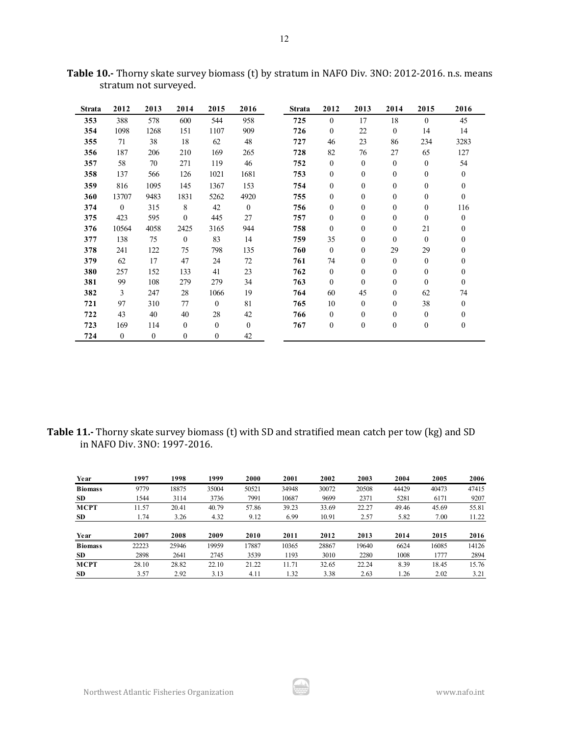| <b>Strata</b> | 2012         | 2013         | 2014         | 2015         | 2016     | <b>Strata</b> | 2012             | 2013             | 2014             | 2015             | 2016             |
|---------------|--------------|--------------|--------------|--------------|----------|---------------|------------------|------------------|------------------|------------------|------------------|
| 353           | 388          | 578          | 600          | 544          | 958      | 725           | $\theta$         | 17               | 18               | $\theta$         | 45               |
| 354           | 1098         | 1268         | 151          | 1107         | 909      | 726           | $\mathbf{0}$     | 22               | $\mathbf{0}$     | 14               | 14               |
| 355           | 71           | 38           | 18           | 62           | 48       | 727           | 46               | 23               | 86               | 234              | 3283             |
| 356           | 187          | 206          | 210          | 169          | 265      | 728           | 82               | 76               | 27               | 65               | 127              |
| 357           | 58           | 70           | 271          | 119          | 46       | 752           | $\mathbf{0}$     | $\overline{0}$   | $\mathbf{0}$     | $\overline{0}$   | 54               |
| 358           | 137          | 566          | 126          | 1021         | 1681     | 753           | $\mathbf{0}$     | $\mathbf{0}$     | $\boldsymbol{0}$ | $\mathbf{0}$     | $\mathbf{0}$     |
| 359           | 816          | 1095         | 145          | 1367         | 153      | 754           | $\mathbf{0}$     | $\mathbf{0}$     | $\boldsymbol{0}$ | $\mathbf{0}$     | $\mathbf{0}$     |
| 360           | 13707        | 9483         | 1831         | 5262         | 4920     | 755           | $\mathbf{0}$     | $\mathbf{0}$     | $\boldsymbol{0}$ | $\mathbf{0}$     | $\mathbf{0}$     |
| 374           | $\theta$     | 315          | 8            | 42           | $\theta$ | 756           | $\mathbf{0}$     | $\boldsymbol{0}$ | 0                | $\mathbf{0}$     | 116              |
| 375           | 423          | 595          | $\theta$     | 445          | 27       | 757           | $\mathbf{0}$     | $\mathbf{0}$     | $\boldsymbol{0}$ | $\mathbf{0}$     | $\mathbf{0}$     |
| 376           | 10564        | 4058         | 2425         | 3165         | 944      | 758           | $\mathbf{0}$     | $\mathbf{0}$     | $\boldsymbol{0}$ | 21               | $\mathbf{0}$     |
| 377           | 138          | 75           | $\mathbf{0}$ | 83           | 14       | 759           | 35               | $\mathbf{0}$     | 0                | $\theta$         | $\mathbf{0}$     |
| 378           | 241          | 122          | 75           | 798          | 135      | 760           | $\theta$         | $\boldsymbol{0}$ | 29               | 29               | $\mathbf{0}$     |
| 379           | 62           | 17           | 47           | 24           | 72       | 761           | 74               | $\mathbf{0}$     | $\boldsymbol{0}$ | $\mathbf{0}$     | $\mathbf{0}$     |
| 380           | 257          | 152          | 133          | 41           | 23       | 762           | $\mathbf{0}$     | $\boldsymbol{0}$ | 0                | $\mathbf{0}$     | $\boldsymbol{0}$ |
| 381           | 99           | 108          | 279          | 279          | 34       | 763           | $\mathbf{0}$     | $\mathbf{0}$     | $\boldsymbol{0}$ | $\mathbf{0}$     | $\mathbf{0}$     |
| 382           | 3            | 247          | 28           | 1066         | 19       | 764           | 60               | 45               | $\boldsymbol{0}$ | 62               | 74               |
| 721           | 97           | 310          | 77           | $\theta$     | 81       | 765           | 10               | $\mathbf{0}$     | 0                | 38               | $\mathbf{0}$     |
| 722           | 43           | 40           | 40           | 28           | 42       | 766           | $\mathbf{0}$     | $\mathbf{0}$     | $\mathbf{0}$     | $\mathbf{0}$     | $\mathbf{0}$     |
| 723           | 169          | 114          | $\mathbf{0}$ | $\mathbf{0}$ | $\theta$ | 767           | $\boldsymbol{0}$ | $\boldsymbol{0}$ | $\boldsymbol{0}$ | $\boldsymbol{0}$ | $\boldsymbol{0}$ |
| 724           | $\mathbf{0}$ | $\mathbf{0}$ | $\mathbf{0}$ | $\mathbf{0}$ | 42       |               |                  |                  |                  |                  |                  |

**Table 10.-** Thorny skate survey biomass (t) by stratum in NAFO Div. 3NO: 2012-2016. n.s. means stratum not surveyed.

**Table 11.-** Thorny skate survey biomass (t) with SD and stratified mean catch per tow (kg) and SD in NAFO Div. 3NO: 1997-2016.

| Year           | 1997  | 1998  | 1999  | 2000  | 2001  | 2002  | 2003  | 2004  | 2005  | 2006  |
|----------------|-------|-------|-------|-------|-------|-------|-------|-------|-------|-------|
| <b>Biomass</b> | 9779  | 18875 | 35004 | 50521 | 34948 | 30072 | 20508 | 44429 | 40473 | 47415 |
| <b>SD</b>      | 1544  | 3114  | 3736  | 7991  | 10687 | 9699  | 2371  | 5281  | 6171  | 9207  |
| <b>MCPT</b>    | 11.57 | 20.41 | 40.79 | 57.86 | 39.23 | 33.69 | 22.27 | 49.46 | 45.69 | 55.81 |
| SD             | 1.74  | 3.26  | 4.32  | 9.12  | 6.99  | 10.91 | 2.57  | 5.82  | 7.00  | 11.22 |
|                |       |       |       |       |       |       |       |       |       |       |
| Year           | 2007  | 2008  | 2009  | 2010  | 2011  | 2012  | 2013  | 2014  | 2015  | 2016  |
| <b>Biomass</b> | 22223 | 25946 | 19959 | 17887 | 10365 | 28867 | 19640 | 6624  | 16085 | 14126 |
| <b>SD</b>      | 2898  | 2641  | 2745  | 3539  | 1193  | 3010  | 2280  | 1008  | 1777  | 2894  |
| <b>MCPT</b>    | 28.10 | 28.82 | 22.10 | 21.22 | 11.71 | 32.65 | 22.24 | 8.39  | 18.45 | 15.76 |
| SD.            | 3.57  | 2.92  | 3.13  | 4.11  | 1.32  | 3.38  | 2.63  | 1.26  | 2.02  | 3.21  |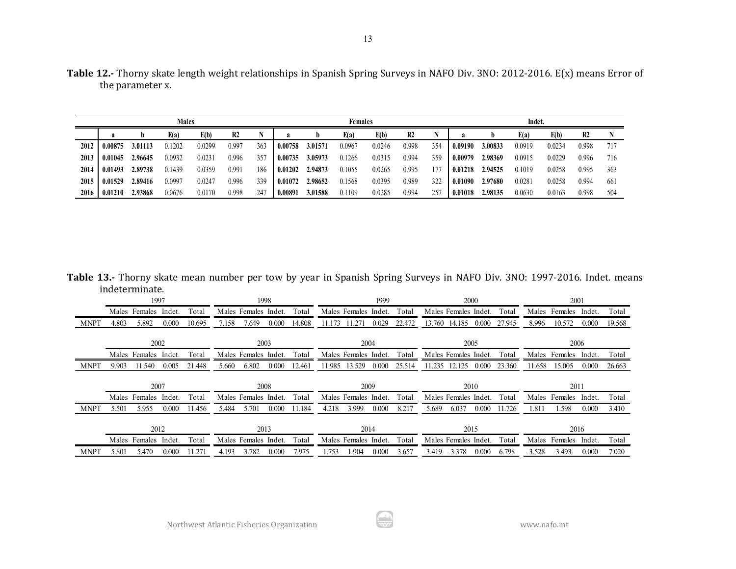|      |         |         | <b>Males</b> |        |                |     |                                          |         | <b>Females</b> |        |       |     |         |         | Indet. |        |                |     |
|------|---------|---------|--------------|--------|----------------|-----|------------------------------------------|---------|----------------|--------|-------|-----|---------|---------|--------|--------|----------------|-----|
|      | a       | D       | E(a)         | E(b)   | R <sub>2</sub> |     | E(a)<br>E(b)<br>R <sub>2</sub><br>a<br>D |         |                |        |       |     |         | b       | E(a)   | E(b)   | R <sub>2</sub> |     |
| 2012 | 0.00875 | 3.01113 | 0.1202       | 0.0299 | 0.997          | 363 | 0.00758                                  | 3.01571 | 0.0967         | 0.0246 | 0.998 | 354 | 0.09190 | 3.00833 | 0.0919 | 0.0234 | 0.998          | 717 |
| 2013 | 0.01045 | 2.96645 | 0.0932       | 0.0231 | 0.996          | 357 | 0.00735                                  | 3.05973 | 0.1266         | 0.0315 | 0.994 | 359 | 0.00979 | 2.98369 | 0.0915 | 0.0229 | 0.996          | 716 |
| 2014 | 0.01493 | 2.89738 | 0.1439       | 0.0359 | 0.991          | 186 | 0.01202                                  | 2.94873 | 0.1055         | 0.0265 | 0.995 | 177 | 0.01218 | 2.94525 | 0.1019 | 0.0258 | 0.995          | 363 |
| 2015 | 0.01529 | 2.89416 | 0.0997       | 0.0247 | 0.996          | 339 | 0.01072                                  | 2.98652 | 0.1568         | 0.0395 | 0.989 | 322 | 0.01090 | 2.97680 | 0.0281 | 0.0258 | 0.994          | 661 |
| 2016 | 0.01210 | 2.93868 | 0.0676       | 0.0170 | 0.998          | 247 | 0.00891                                  | 3.01588 | 0.1109         | 0.0285 | 0.994 | 257 | 0.01018 | 2.98135 | 0.0630 | 0.0163 | 0.998          | 504 |

**Table 13.-** Thorny skate mean number per tow by year in Spanish Spring Surveys in NAFO Div. 3NO: 1997-2016. Indet. means indeterminate.

|             |       | 1997          |        |        |                                   |                      | 1998  |                      |        |                      | 1999  |                      |        | 2000                 |       |         |        | 2001          |        |        |
|-------------|-------|---------------|--------|--------|-----------------------------------|----------------------|-------|----------------------|--------|----------------------|-------|----------------------|--------|----------------------|-------|---------|--------|---------------|--------|--------|
|             |       | Males Females | Indet. | Total  |                                   | Males Females Indet. |       | Total                |        | Males Females Indet. |       | Total                |        | Males Females Indet. |       | Total   |        | Males Females | Indet. | Total  |
| <b>MNPT</b> | 4.803 | 5.892         | 0.000  | 10.695 | 7.158                             | 7.649                | 0.000 | 14.808               | 11.173 | 11.271               | 0.029 | 22.472               | 13.760 | 14.185               | 0.000 | 27.945  | 8.996  | 10.572        | 0.000  | 19.568 |
|             |       | 2002          |        |        |                                   | 2003                 |       |                      |        |                      | 2004  |                      |        | 2005                 |       |         |        |               | 2006   |        |
|             |       | Males Females | Indet. | Total  | Males Females Indet.              | Total                |       | Males Females Indet. |        | Total                |       | Males Females Indet. |        | Total                | Males | Females | Indet. | Total         |        |        |
| <b>MNPT</b> | 9.903 | 1.540         | 0.005  | 21.448 | 6.802<br>0.000<br>12.461<br>5.660 |                      |       |                      | 11.985 | 13.529               | 0.000 | 25.514               | 1.235  | 12.125               | 0.000 | 23.360  | 11.658 | 15.005        | 0.000  | 26.663 |
|             | 2007  |               |        |        |                                   |                      |       |                      |        |                      |       |                      |        |                      |       |         |        |               |        |        |
|             |       |               |        |        |                                   | 2008                 |       |                      |        |                      | 2009  |                      |        | 2010                 |       |         |        | 2011          |        |        |
|             |       | Males Females | Indet. | Total  |                                   | Males Females Indet. |       | Total                |        | Males Females Indet. |       | Total                |        | Males Females Indet. |       | Total   |        | Males Females | Indet. | Total  |
| <b>MNPT</b> | 5.501 | 5.955         | 0.000  | 11.456 | 5.484                             | 5.701                | 0.000 | 11.184               | 4.218  | 3.999                | 0.000 | 8.217                | 5.689  | 6.037                | 0.000 | 11.726  | 1.811  | 1.598         | 0.000  | 3.410  |
|             |       | 2012          |        |        |                                   | 2013                 |       |                      |        |                      | 2014  |                      |        | 2015                 |       |         |        |               | 2016   |        |
|             |       | Males Females | Indet. | Total  |                                   | Males Females Indet. |       | Total                |        | Males Females Indet. |       | Total                |        | Males Females Indet. |       | Total   | Males  | Females       | Indet. | Total  |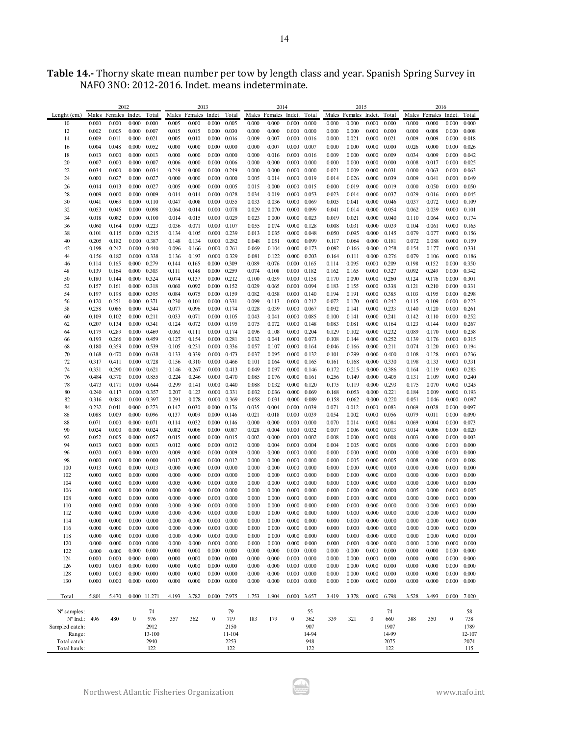| <b>Table 14.-</b> Thorny skate mean number per tow by length class and year. Spanish Spring Survey in |  |
|-------------------------------------------------------------------------------------------------------|--|
| NAFO 3NO: 2012-2016. Indet. means indeterminate.                                                      |  |

|                          |                | 2012                 |                  |                |                | 2013                 |                     |                |                | 2014                 |                  |                |                | 2015                 |                  |                |                | 2016                 |                  |                |
|--------------------------|----------------|----------------------|------------------|----------------|----------------|----------------------|---------------------|----------------|----------------|----------------------|------------------|----------------|----------------|----------------------|------------------|----------------|----------------|----------------------|------------------|----------------|
| Lenght (cm.)             |                | Males Females Indet. |                  | Total          |                | Males Females Indet. |                     | Total          |                | Males Females Indet. |                  | Total          |                | Males Females Indet. |                  | Total          |                | Males Females Indet. |                  | Total          |
| 10                       | 0.000          | 0.000                | 0.000            | 0.000          | 0.005          | 0.000                | 0.000               | 0.005          | 0.000          | 0.000                | 0.000            | 0.000          | 0.000          | 0.000                | 0.000            | 0.000          | 0.000          | 0.000                | 0.000            | 0.000          |
| 12                       | 0.002          | 0.005                | 0.000            | 0.007          | 0.015          | 0.015                | 0.000               | 0.030          | 0.000          | 0.000                | 0.000            | 0.000          | 0.000          | 0.000                | 0.000            | 0.000          | 0.000          | 0.008                | 0.000            | 0.008          |
| 14                       | 0.009          | 0.011                | 0.000            | 0.021          | 0.005          | 0.010                | 0.000               | 0.016          | 0.009          | 0.007                | 0.000            | 0.016          | 0.000          | 0.021                | 0.000            | 0.021          | 0.009          | 0.009                | 0.000            | 0.018          |
| 16                       | 0.004          | 0.048                | 0.000            | 0.052          | 0.000          | 0.000                | 0.000               | 0.000          | 0.000          | 0.007                | 0.000            | 0.007          | 0.000          | 0.000                | 0.000            | 0.000          | 0.026          | 0.000                | 0.000            | 0.026          |
| 18                       | 0.013          | 0.000                | 0.000            | 0.013          | 0.000          | 0.000                | 0.000               | 0.000          | 0.000          | 0.016                | 0.000            | 0.016          | 0.009          | 0.000                | 0.000            | 0.009          | 0.034          | 0.009                | 0.000            | 0.042          |
| 20                       | 0.007          | 0.000                | 0.000            | 0.007          | 0.006          | 0.000                | 0.000               | 0.006          | 0.000          | 0.000                | 0.000            | 0.000          | 0.000          | 0.000                | 0.000            | 0.000          | 0.008          | 0.017                | 0.000            | 0.025          |
| 22                       | 0.034          | 0.000                | 0.000            | 0.034          | 0.249          | 0.000                | 0.000               | 0.249          | 0.000          | 0.000                | 0.000            | 0.000          | 0.021          | 0.009                | 0.000            | 0.031          | 0.000          | 0.063                | 0.000            | 0.063          |
| 24                       | 0.000          | 0.027                | 0.000            | 0.027          | 0.000          | 0.000                | 0.000               | 0.000          | 0.005          | 0.014                | 0.000            | 0.019          | 0.014          | 0.026                | 0.000            | 0.039          | 0.009          | 0.041                | 0.000            | 0.049          |
| 26                       | 0.014          | 0.013                | 0.000            | 0.027          | 0.005          | 0.000                | 0.000               | 0.005          | 0.015          | 0.000                | 0.000            | 0.015          | 0.000          | 0.019                | 0.000            | 0.019          | 0.000          | 0.050                | 0.000            | 0.050          |
| 28<br>30                 | 0.009<br>0.041 | 0.000<br>0.069       | 0.000<br>0.000   | 0.009<br>0.110 | 0.014<br>0.047 | 0.014<br>0.008       | 0.000<br>0.000      | 0.028<br>0.055 | 0.034<br>0.033 | 0.019<br>0.036       | 0.000<br>0.000   | 0.053<br>0.069 | 0.023<br>0.005 | 0.014<br>0.041       | 0.000<br>0.000   | 0.037<br>0.046 | 0.029<br>0.037 | 0.016<br>0.072       | 0.000<br>0.000   | 0.045<br>0.109 |
| 32                       | 0.053          | 0.045                | 0.000            | 0.098          | 0.064          | 0.014                | 0.000               | 0.078          | 0.029          | 0.070                | 0.000            | 0.099          | 0.041          | 0.014                | 0.000            | 0.054          | 0.062          | 0.039                | 0.000            | 0.101          |
| 34                       | 0.018          | 0.082                | 0.000            | 0.100          | 0.014          | 0.015                | 0.000               | 0.029          | 0.023          | 0.000                | 0.000            | 0.023          | 0.019          | 0.021                | 0.000            | 0.040          |                | 0.064                | 0.000            | 0.174          |
| 36                       | 0.060          | 0.164                | 0.000            | 0.223          | 0.036          | 0.071                | 0.000               | 0.107          | 0.055          | 0.074                | 0.000            | 0.128          | 0.008          | 0.031                | 0.000            | 0.039          | 0.110<br>0.104 | 0.061                | 0.000            | 0.165          |
| 38                       | 0.101          | 0.115                | 0.000            | 0.215          | 0.134          | 0.105                | 0.000               | 0.239          | 0.013          | 0.035                | 0.000            | 0.048          | 0.050          | 0.095                | 0.000            | 0.145          | 0.079          | 0.077                | 0.000            | 0.156          |
| 40                       | 0.205          | 0.182                | 0.000            | 0.387          | 0.148          | 0.134                | 0.000               | 0.282          | 0.048          | 0.051                | 0.000            | 0.099          | 0.117          | 0.064                | 0.000            | 0.181          | 0.072          | 0.088                | 0.000            | 0.159          |
| 42                       | 0.198          | 0.242                | 0.000            | 0.440          | 0.096          | 0.166                | 0.000               | 0.261          | 0.069          | 0.104                | 0.000            | 0.173          | 0.092          | 0.166                | 0.000            | 0.258          | 0.154          | 0.177                | 0.000            | 0.331          |
| 44                       | 0.156          | 0.182                | 0.000            | 0.338          | 0.136          | 0.193                | 0.000               | 0.329          | 0.081          | 0.122                | 0.000            | 0.203          | 0.164          | 0.111                | 0.000            | 0.276          | 0.079          | 0.106                | 0.000            | 0.186          |
| 46                       | 0.114          | 0.165                | 0.000            | 0.279          | 0.144          | 0.165                | 0.000               | 0.309          | 0.089          | 0.076                | 0.000            | 0.165          | 0.114          | 0.095                | 0.000            | 0.209          | 0.198          | 0.152                | 0.000            | 0.350          |
| 48                       | 0.139          | 0.164                | 0.000            | 0.303          | 0.111          | 0.148                | 0.000               | 0.259          | 0.074          | 0.108                | 0.000            | 0.182          | 0.162          | 0.165                | 0.000            | 0.327          | 0.092          | 0.249                | 0.000            | 0.342          |
| 50                       | 0.180          | 0.144                | 0.000            | 0.324          | 0.074          | 0.137                | 0.000               | 0.212          | 0.100          | 0.059                | 0.000            | 0.158          | 0.170          | 0.090                | 0.000            | 0.260          | 0.124          | 0.176                | 0.000            | 0.301          |
| 52                       | 0.157          | 0.161                | 0.000            | 0.318          | 0.060          | 0.092                | 0.000               | 0.152          | 0.029          | 0.065                | 0.000            | 0.094          | 0.183          | 0.155                | 0.000            | 0.338          | 0.121          | 0.210                | 0.000            | 0.331          |
| 54                       | 0.197          | 0.198                | 0.000            | 0.395          | 0.084          | 0.075                | $0.000 \quad 0.159$ |                | 0.082          | 0.058                | 0.000            | 0.140          | 0.194          | 0.191                | 0.000            | 0.385          | 0.103          | 0.195                | 0.000            | 0.298          |
| 56                       | 0.120          | 0.251                | 0.000            | 0.371          | 0.230          | 0.101                | 0.000               | 0.331          | 0.099          | 0.113                | 0.000            | 0.212          | 0.072          | 0.170                | 0.000            | 0.242          | 0.115          | 0.109                | 0.000            | 0.223          |
| 58                       | 0.258          | 0.086                | 0.000            | 0.344          | 0.077          | 0.096                | 0.000               | 0.174          | 0.028          | 0.039                | 0.000            | 0.067          | 0.092          | 0.141                | 0.000            | 0.233          | 0.140          | 0.120                | 0.000            | 0.261          |
| 60                       | 0.109          | 0.102                | 0.000            | 0.211          | 0.033          | 0.071                | 0.000               | 0.105          | 0.043          | 0.041                | 0.000            | 0.085          | 0.100          | 0.141                | 0.000            | 0.241          | 0.142          | 0.110                | 0.000            | 0.252          |
| 62                       | 0.207          | 0.134                | 0.000            | 0.341          | 0.124          | 0.072                | 0.000               | 0.195          | 0.075          | 0.072                | 0.000            | 0.148          | 0.083          | 0.081                | 0.000            | 0.164          | 0.123          | 0.144                | 0.000            | 0.267          |
| 64<br>66                 | 0.179<br>0.193 | 0.289<br>0.266       | 0.000<br>0.000   | 0.469<br>0.459 | 0.063<br>0.127 | 0.111<br>0.154       | 0.000<br>0.000      | 0.174<br>0.281 | 0.096<br>0.032 | 0.108<br>0.041       | 0.000<br>0.000   | 0.204<br>0.073 | 0.129<br>0.108 | 0.102<br>0.144       | 0.000<br>0.000   | 0.232<br>0.252 | 0.089<br>0.139 | 0.170<br>0.176       | 0.000<br>0.000   | 0.258<br>0.315 |
| 68                       | 0.180          | 0.359                | 0.000            | 0.539          | 0.105          | 0.231                | 0.000               | 0.336          | 0.057          | 0.107                | 0.000            | 0.164          | 0.046          | 0.166                | 0.000            | 0.211          | 0.074          | 0.120                | 0.000            | 0.194          |
| 70                       | 0.168          | 0.470                | 0.000            | 0.638          | 0.133          | 0.339                | 0.000               | 0.473          | 0.037          | 0.095                | 0.000            | 0.132          | 0.101          | 0.299                | 0.000            | 0.400          | 0.108          | 0.128                | 0.000            | 0.236          |
| 72                       | 0.317          | 0.411                | 0.000            | 0.728          | 0.156          | 0.310                | 0.000               | 0.466          | 0.101          | 0.064                | 0.000            | 0.165          | 0.161          | 0.168                | 0.000            | 0.330          | 0.198          | 0.133                | 0.000            | 0.331          |
| 74                       | 0.331          | 0.290                | 0.000            | 0.621          | 0.146          | 0.267                | 0.000               | 0.413          | 0.049          | 0.097                | 0.000            | 0.146          | 0.172          | 0.215                | 0.000            | 0.386          | 0.164          | 0.119                | 0.000            | 0.283          |
| 76                       | 0.484          | 0.370                | 0.000            | 0.855          | 0.224          | 0.246                | 0.000               | 0.470          | 0.085          | 0.076                | 0.000            | 0.161          | 0.256          | 0.149                | 0.000            | 0.405          | 0.131          | 0.109                | 0.000            | 0.240          |
| 78                       | 0.473          | 0.171                | 0.000            | 0.644          | 0.299          | 0.141                | 0.000               | 0.440          | 0.088          | 0.032                | 0.000            | 0.120          | 0.175          | 0.119                | 0.000            | 0.293          | 0.175          | 0.070                | 0.000            | 0.245          |
| 80                       | 0.240          | 0.117                | 0.000            | 0.357          | 0.207          | 0.123                | 0.000               | 0.331          | 0.032          | 0.036                | 0.000            | 0.069          | 0.168          | 0.053                | 0.000            | 0.221          | 0.184          | 0.009                | 0.000            | 0.193          |
| 82                       | 0.316          | 0.081                | 0.000            | 0.397          | 0.291          | 0.078                | 0.000               | 0.369          | 0.058          | 0.031                | 0.000            | 0.089          | 0.158          | 0.062                | 0.000            | 0.220          | 0.051          | 0.046                | 0.000            | 0.097          |
| 84                       | 0.232          | 0.041                | 0.000            | 0.273          | 0.147          | 0.030                | 0.000               | 0.176          | 0.035          | 0.004                | 0.000            | 0.039          | 0.071          | 0.012                | 0.000            | 0.083          | 0.069          | 0.028                | 0.000            | 0.097          |
| 86                       | 0.088          | 0.009                | 0.000            | 0.096          | 0.137          | 0.009                | 0.000               | 0.146          | 0.021          | 0.018                | 0.000            | 0.039          | 0.054          | 0.002                | 0.000            | 0.056          | 0.079          | 0.011                | 0.000            | 0.090          |
| 88                       | 0.071          | 0.000                | 0.000            | 0.071          | 0.114          | 0.032                | 0.000               | 0.146          | 0.000          | 0.000                | 0.000            | 0.000          | 0.070          | 0.014                | 0.000            | 0.084          | 0.069          | 0.004                | 0.000            | 0.073          |
| 90                       | 0.024          | 0.000                | 0.000            | 0.024          | 0.082          | 0.006                | 0.000               | 0.087          | 0.028          | 0.004                | 0.000            | 0.032          | 0.007          | 0.006                | 0.000            | 0.013          | 0.014          | 0.006                | 0.000            | 0.020          |
| 92                       | 0.052          | 0.005                | 0.000            | 0.057          | 0.015          | 0.000                | 0.000               | 0.015          | 0.002          | 0.000                | 0.000            | 0.002          | 0.008          | 0.000                | 0.000            | 0.008          | 0.003          | 0.000                | 0.000            | 0.003          |
| 94                       | 0.013          | 0.000                | 0.000            | 0.013          | 0.012          | 0.000                | 0.000               | 0.012          | 0.000          | 0.004                | 0.000            | 0.004          | 0.004          | 0.005                | 0.000            | 0.008          | 0.000          | 0.000                | 0.000            | 0.000          |
| 96<br>98                 | 0.020<br>0.000 | 0.000<br>0.000       | 0.000<br>0.000   | 0.020<br>0.000 | 0.009<br>0.012 | 0.000<br>0.000       | 0.000<br>0.000      | 0.009<br>0.012 | 0.000<br>0.000 | 0.000<br>0.000       | 0.000<br>0.000   | 0.000<br>0.000 | 0.000<br>0.000 | 0.000<br>0.005       | 0.000<br>0.000   | 0.000<br>0.005 | 0.000<br>0.008 | 0.000<br>0.000       | 0.000<br>0.000   | 0.000<br>0.008 |
| 100                      | 0.013          | 0.000                | 0.000            | 0.013          | 0.000          | 0.000                | 0.000               | 0.000          | 0.000          | 0.000                | 0.000            | 0.000          | 0.000          | 0.000                | 0.000            | 0.000          | 0.000          | 0.000                | 0.000            | 0.000          |
| 102                      | 0.000          | 0.000                | 0.000            | 0.000          | 0.000          | 0.000                | 0.000               | 0.000          | 0.000          | 0.000                | 0.000            | 0.000          | 0.000          | 0.000                | 0.000            | 0.000          | 0.000          | 0.000                | 0.000            | 0.000          |
| 104                      | 0.000          | 0.000                | 0.000            | 0.000          | 0.005          | 0.000                | 0.000               | 0.005          | 0.000          | 0.000                | 0.000            | 0.000          | 0.000          | 0.000                | 0.000            | 0.000          | 0.000          | 0.000                | 0.000            | 0.000          |
| 106                      | 0.000          | 0.000                | 0.000            | 0.000          | 0.000          | 0.000                | 0.000               | 0.000          | 0.000          | 0.000                | 0.000            | 0.000          | 0.000          | 0.000                | 0.000            | 0.000          | 0.005          | 0.000                | 0.000            | 0.005          |
| 108                      | 0.000          | 0.000                | 0.000            | 0.000          | 0.000          | 0.000                | 0.000               | 0.000          | 0.000          | 0.000                | 0.000            | 0.000          | 0.000          | 0.000                | 0.000            | 0.000          | 0.000          | 0.000                | 0.000            | 0.000          |
| 110                      | 0.000          | 0.000                | 0.000            | 0.000          | 0.000          | 0.000                | 0.000               | 0.000          | 0.000          | 0.000                | 0.000            | 0.000          | 0.000          | 0.000                | 0.000            | 0.000          | 0.000          | 0.000                | 0.000            | 0.000          |
| 112                      | 0.000          | 0.000                | 0.000            | 0.000          | 0.000          | 0.000                | 0.000               | 0.000          | 0.000          | 0.000                | 0.000            | 0.000          | 0.000          | 0.000                | 0.000            | 0.000          | 0.000          | 0.000                | 0.000            | 0.000          |
| 114                      | 0.000          | 0.000                | 0.000            | $_{0.000}$     | 0.000          | 0.000                | 0.000               | 0.000          | 0.000          | 0.000                | 0.000            | $_{0.000}$     | 0.000          | 0.000                | 0.000            | 0.000          | 0.000          | 0.000                | 0.000            | 0.000          |
| 116                      | 0.000          | 0.000                | 0.000            | 0.000          | 0.000          | 0.000                | 0.000               | 0.000          | 0.000          | 0.000                | 0.000            | 0.000          | 0.000          | 0.000                | 0.000            | 0.000          | 0.000          | 0.000                | 0.000            | 0.000          |
| 118                      | 0.000          | 0.000                | 0.000            | 0.000          | 0.000          | 0.000                | 0.000               | 0.000          | 0.000          | 0.000                | 0.000            | 0.000          | 0.000          | 0.000                | 0.000            | 0.000          | 0.000          | 0.000                | 0.000            | 0.000          |
| 120                      | 0.000          | 0.000                | 0.000            | 0.000          | 0.000          | 0.000                | 0.000               | 0.000          | 0.000          | 0.000                | 0.000            | 0.000          | 0.000          | 0.000                | 0.000            | 0.000          | 0.000          | 0.000                | 0.000            | 0.000          |
| 122                      | 0.000          | 0.000                | 0.000            | 0.000          | 0.000          | 0.000                | 0.000               | 0.000          | 0.000          | 0.000                | 0.000            | 0.000          | 0.000          | 0.000                | 0.000            | 0.000          | 0.000          | 0.000                | 0.000            | 0.000          |
| 124<br>126               | 0.000          | 0.000                | 0.000<br>0.000   | 0.000<br>0.000 | 0.000          | 0.000                | 0.000<br>0.000      | 0.000<br>0.000 | 0.000          | $0.000\,$            | 0.000<br>0.000   | 0.000          | 0.000          | 0.000<br>0.000       | 0.000<br>0.000   | 0.000<br>0.000 | 0.000          | 0.000<br>0.000       | 0.000<br>0.000   | 0.000<br>0.000 |
| 128                      | 0.000<br>0.000 | 0.000<br>0.000       | 0.000            | 0.000          | 0.000<br>0.000 | 0.000<br>0.000       | 0.000               | 0.000          | 0.000<br>0.000 | 0.000<br>0.000       | 0.000            | 0.000<br>0.000 | 0.000<br>0.000 | 0.000                | 0.000            | 0.000          | 0.000<br>0.000 | 0.000                | 0.000            | 0.000          |
| 130                      | 0.000          | 0.000                | 0.000            | 0.000          | 0.000          | 0.000                | 0.000               | 0.000          | 0.000          | 0.000                | 0.000            | 0.000          | 0.000          | 0.000                | 0.000            | 0.000          | 0.000          | 0.000                | 0.000            | 0.000          |
|                          |                |                      |                  |                |                |                      |                     |                |                |                      |                  |                |                |                      |                  |                |                |                      |                  |                |
| Total                    | 5.801          | 5.470                | 0.000 11.271     |                | 4.193          | 3.782                | 0.000               | 7.975          | 1.753          | 1.904                | 0.000            | 3.657          | 3.419          | 3.378                | 0.000            | 6.798          | 3.528          | 3.493                | 0.000            | 7.020          |
|                          |                |                      |                  |                |                |                      |                     |                |                |                      |                  |                |                |                      |                  |                |                |                      |                  |                |
| N° samples:              |                |                      |                  | 74             |                |                      |                     | 79             |                |                      |                  | 55             |                |                      |                  | 74             |                |                      |                  | 58             |
| Nº Ind.: 496             |                | 480                  | $\boldsymbol{0}$ | 976            | 357            | 362                  | $\boldsymbol{0}$    | 719            | 183            | 179                  | $\boldsymbol{0}$ | 362            | 339            | 321                  | $\boldsymbol{0}$ | 660            | 388            | 350                  | $\boldsymbol{0}$ | 738            |
| Sampled catch:<br>Range: |                |                      |                  | 2912<br>13-100 |                |                      |                     | 2150<br>11-104 |                |                      |                  | 907<br>14-94   |                |                      |                  | 1907<br>14-99  |                |                      |                  | 1789<br>12-107 |
| Total catch:             |                |                      |                  | 2940           |                |                      |                     | 2253           |                |                      |                  | 948            |                |                      |                  | 2075           |                |                      |                  | 2074           |
| Total hauls:             |                |                      |                  | 122            |                |                      |                     | 122            |                |                      |                  | 122            |                |                      |                  | 122            |                |                      |                  | 115            |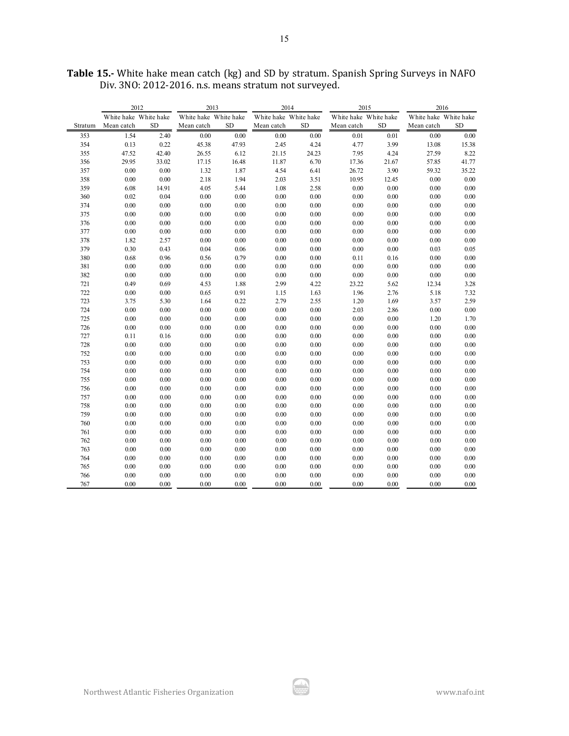|         | 2012                  |           | 2013                  |           |                       | 2014     | 2015                  |           | 2016                  |           |
|---------|-----------------------|-----------|-----------------------|-----------|-----------------------|----------|-----------------------|-----------|-----------------------|-----------|
|         | White hake White hake |           | White hake White hake |           | White hake White hake |          | White hake White hake |           | White hake White hake |           |
| Stratum | Mean catch            | <b>SD</b> | Mean catch            | <b>SD</b> | Mean catch            | SD.      | Mean catch            | <b>SD</b> | Mean catch            | <b>SD</b> |
| 353     | 1.54                  | 2.40      | $0.00\,$              | 0.00      | 0.00                  | 0.00     | 0.01                  | $0.01\,$  | 0.00                  | $0.00\,$  |
| 354     | 0.13                  | 0.22      | 45.38                 | 47.93     | 2.45                  | 4.24     | 4.77                  | 3.99      | 13.08                 | 15.38     |
| 355     | 47.52                 | 42.40     | 26.55                 | 6.12      | 21.15                 | 24.23    | 7.95                  | 4.24      | 27.59                 | 8.22      |
| 356     | 29.95                 | 33.02     | 17.15                 | 16.48     | 11.87                 | 6.70     | 17.36                 | 21.67     | 57.85                 | 41.77     |
| 357     | 0.00                  | 0.00      | 1.32                  | 1.87      | 4.54                  | 6.41     | 26.72                 | 3.90      | 59.32                 | 35.22     |
| 358     | 0.00                  | 0.00      | 2.18                  | 1.94      | 2.03                  | 3.51     | 10.95                 | 12.45     | 0.00                  | 0.00      |
| 359     | 6.08                  | 14.91     | 4.05                  | 5.44      | 1.08                  | 2.58     | $0.00\,$              | $0.00\,$  | $0.00\,$              | $0.00\,$  |
| 360     | 0.02                  | 0.04      | $0.00\,$              | $0.00\,$  | 0.00                  | 0.00     | 0.00                  | $0.00\,$  | 0.00                  | $0.00\,$  |
| 374     | $0.00\,$              | $0.00\,$  | $0.00\,$              | 0.00      | 0.00                  | $0.00\,$ | 0.00                  | 0.00      | 0.00                  | $0.00\,$  |
| 375     | 0.00                  | $0.00\,$  | $0.00\,$              | 0.00      | $0.00\,$              | 0.00     | 0.00                  | 0.00      | $0.00\,$              | $0.00\,$  |
| 376     | $0.00\,$              | $0.00\,$  | $0.00\,$              | $0.00\,$  | 0.00                  | 0.00     | 0.00                  | 0.00      | 0.00                  | $0.00\,$  |
| 377     | 0.00                  | $0.00\,$  | $0.00\,$              | 0.00      | 0.00                  | $0.00\,$ | 0.00                  | $0.00\,$  | 0.00                  | 0.00      |
| 378     | 1.82                  | 2.57      | 0.00                  | 0.00      | 0.00                  | $0.00\,$ | 0.00                  | 0.00      | 0.00                  | 0.00      |
| 379     | 0.30                  | 0.43      | 0.04                  | 0.06      | 0.00                  | $0.00\,$ | 0.00                  | 0.00      | 0.03                  | 0.05      |
| 380     | 0.68                  | 0.96      | 0.56                  | 0.79      | 0.00                  | 0.00     | 0.11                  | 0.16      | 0.00                  | 0.00      |
| 381     | 0.00                  | 0.00      | 0.00                  | 0.00      | 0.00                  | 0.00     | 0.00                  | 0.00      | 0.00                  | 0.00      |
| 382     | 0.00                  | 0.00      | $0.00\,$              | 0.00      | $0.00\,$              | $0.00\,$ | $0.00\,$              | 0.00      | 0.00                  | $0.00\,$  |
| 721     | 0.49                  | 0.69      | 4.53                  | 1.88      | 2.99                  | 4.22     | 23.22                 | 5.62      | 12.34                 | 3.28      |
| 722     | 0.00                  | $0.00\,$  | 0.65                  | 0.91      | 1.15                  | 1.63     | 1.96                  | 2.76      | 5.18                  | 7.32      |
| 723     | 3.75                  | 5.30      | 1.64                  | 0.22      | 2.79                  | 2.55     | 1.20                  | 1.69      | 3.57                  | 2.59      |
| 724     | 0.00                  | $0.00\,$  | 0.00                  | 0.00      | $0.00\,$              | $0.00\,$ | 2.03                  | 2.86      | $0.00\,$              | $0.00\,$  |
| 725     | 0.00                  | $0.00\,$  | $0.00\,$              | 0.00      | $0.00\,$              | $0.00\,$ | 0.00                  | $0.00\,$  | 1.20                  | 1.70      |
| 726     | 0.00                  | $0.00\,$  | 0.00                  | 0.00      | 0.00                  | 0.00     | 0.00                  | $0.00\,$  | 0.00                  | 0.00      |
| 727     | 0.11                  | 0.16      | 0.00                  | 0.00      | 0.00                  | 0.00     | 0.00                  | 0.00      | 0.00                  | 0.00      |
| 728     | 0.00                  | $0.00\,$  | 0.00                  | 0.00      | 0.00                  | $0.00\,$ | $0.00\,$              | $0.00\,$  | 0.00                  | 0.00      |
| 752     | 0.00                  | 0.00      | 0.00                  | 0.00      | 0.00                  | 0.00     | 0.00                  | 0.00      | 0.00                  | 0.00      |
| 753     | 0.00                  | 0.00      | 0.00                  | 0.00      | 0.00                  | 0.00     | 0.00                  | 0.00      | 0.00                  | 0.00      |
| 754     | 0.00                  | 0.00      | $0.00\,$              | 0.00      | 0.00                  | $0.00\,$ | 0.00                  | 0.00      | 0.00                  | $0.00\,$  |
| 755     | $0.00\,$              | 0.00      | $0.00\,$              | 0.00      | 0.00                  | $0.00\,$ | 0.00                  | 0.00      | 0.00                  | $0.00\,$  |
| 756     | 0.00                  | 0.00      | $0.00\,$              | 0.00      | $0.00\,$              | $0.00\,$ | $0.00\,$              | $0.00\,$  | $0.00\,$              | $0.00\,$  |
| 757     | 0.00                  | $0.00\,$  | $0.00\,$              | 0.00      | $0.00\,$              | $0.00\,$ | $0.00\,$              | $0.00\,$  | $0.00\,$              | $0.00\,$  |
| 758     | $0.00\,$              | 0.00      | $0.00\,$              | 0.00      | $0.00\,$              | $0.00\,$ | $0.00\,$              | $0.00\,$  | $0.00\,$              | $0.00\,$  |
| 759     | 0.00                  | 0.00      | 0.00                  | 0.00      | $0.00\,$              | $0.00\,$ | 0.00                  | $0.00\,$  | 0.00                  | $0.00\,$  |
| 760     | 0.00                  | 0.00      | 0.00                  | 0.00      | 0.00                  | 0.00     | 0.00                  | 0.00      | 0.00                  | 0.00      |
| 761     | 0.00                  | 0.00      | 0.00                  | 0.00      | 0.00                  | $0.00\,$ | 0.00                  | $0.00\,$  | 0.00                  | 0.00      |
| 762     | 0.00                  | 0.00      | 0.00                  | 0.00      | 0.00                  | 0.00     | 0.00                  | 0.00      | 0.00                  | 0.00      |
| 763     | 0.00                  | 0.00      | 0.00                  | 0.00      | 0.00                  | 0.00     | 0.00                  | 0.00      | 0.00                  | 0.00      |
| 764     | $0.00\,$              | 0.00      | $0.00\,$              | $0.00\,$  | $0.00\,$              | $0.00\,$ | 0.00                  | $0.00\,$  | 0.00                  | $0.00\,$  |
| 765     | $0.00\,$              | 0.00      | $0.00\,$              | $0.00\,$  | $0.00\,$              | 0.00     | 0.00                  | $0.00\,$  | 0.00                  | $0.00\,$  |
| 766     | 0.00                  | 0.00      | 0.00                  | 0.00      | 0.00                  | 0.00     | 0.00                  | 0.00      | 0.00                  | $0.00\,$  |
| 767     | 0.00                  | 0.00      | 0.00                  | 0.00      | 0.00                  | 0.00     | 0.00                  | 0.00      | 0.00                  | 0.00      |

ار ش.<br>-

**Table 15.-** White hake mean catch (kg) and SD by stratum. Spanish Spring Surveys in NAFO Div. 3NO: 2012-2016. n.s. means stratum not surveyed.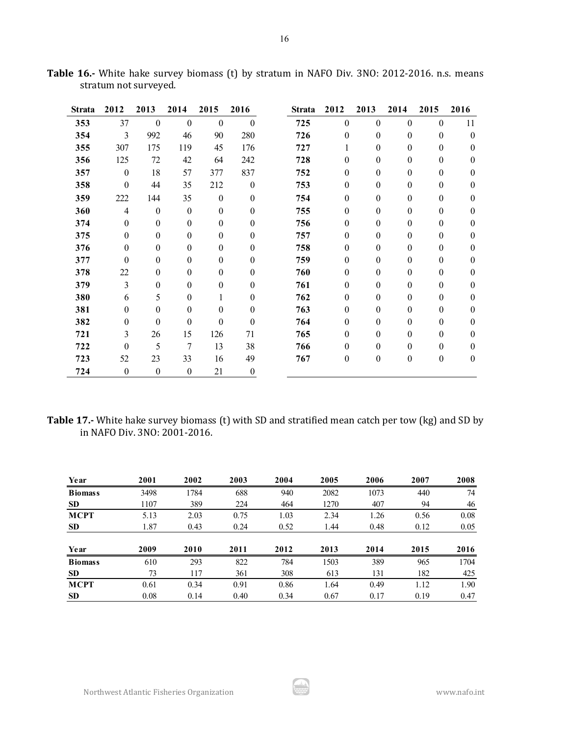| <b>Strata</b> | 2012             | 2013             | 2014             | 2015             | 2016             | <b>Strata</b> | 2012     | 2013             | 2014             | 2015             | 2016             |
|---------------|------------------|------------------|------------------|------------------|------------------|---------------|----------|------------------|------------------|------------------|------------------|
| 353           | 37               | $\boldsymbol{0}$ | $\boldsymbol{0}$ | $\boldsymbol{0}$ | $\boldsymbol{0}$ | 725           | $\theta$ | $\theta$         | $\mathbf{0}$     | $\mathbf{0}$     | 11               |
| 354           | 3                | 992              | 46               | 90               | 280              | 726           | $\theta$ | $\theta$         | $\theta$         | $\boldsymbol{0}$ | $\theta$         |
| 355           | 307              | 175              | 119              | 45               | 176              | 727           | 1        | $\theta$         | $\theta$         | $\theta$         | $\boldsymbol{0}$ |
| 356           | 125              | 72               | 42               | 64               | 242              | 728           | $\theta$ | $\theta$         | $\theta$         | $\theta$         | $\theta$         |
| 357           | $\boldsymbol{0}$ | 18               | 57               | 377              | 837              | 752           | 0        | $\theta$         | $\theta$         | $\theta$         | $\theta$         |
| 358           | $\theta$         | 44               | 35               | 212              | $\boldsymbol{0}$ | 753           | $\theta$ | $\theta$         | $\mathbf{0}$     | $\boldsymbol{0}$ | $\mathbf{0}$     |
| 359           | 222              | 144              | 35               | $\boldsymbol{0}$ | $\theta$         | 754           | $\theta$ | $\theta$         | $\theta$         | $\mathbf{0}$     | $\mathbf{0}$     |
| 360           | $\overline{4}$   | $\boldsymbol{0}$ | $\mathbf{0}$     | $\boldsymbol{0}$ | 0                | 755           | $\theta$ | $\theta$         | $\theta$         | $\theta$         | $\theta$         |
| 374           | $\mathbf{0}$     | $\boldsymbol{0}$ | $\boldsymbol{0}$ | $\theta$         | 0                | 756           | $\theta$ | $\theta$         | $\theta$         | $\theta$         | $\boldsymbol{0}$ |
| 375           | $\mathbf{0}$     | $\theta$         | $\theta$         | $\boldsymbol{0}$ | 0                | 757           | 0        | $\theta$         | $\theta$         | $\theta$         | $\mathbf{0}$     |
| 376           | $\theta$         | 0                | $\theta$         | $\boldsymbol{0}$ | 0                | 758           | $\theta$ | $\boldsymbol{0}$ | $\theta$         | $\theta$         | $\boldsymbol{0}$ |
| 377           | $\theta$         | $\theta$         | $\theta$         | $\theta$         | 0                | 759           | $\theta$ | $\theta$         | $\theta$         | $\theta$         | $\theta$         |
| 378           | 22               | $\theta$         | $\theta$         | $\boldsymbol{0}$ | 0                | 760           | 0        | $\theta$         | $\mathbf{0}$     | $\theta$         | $\mathbf{0}$     |
| 379           | 3                | 0                | $\theta$         | $\boldsymbol{0}$ | 0                | 761           | $\theta$ | $\mathbf{0}$     | $\theta$         | $\theta$         | $\theta$         |
| 380           | 6                | 5                | $\theta$         | 1                | 0                | 762           | 0        | $\theta$         | $\theta$         | $\theta$         | $\theta$         |
| 381           | $\mathbf{0}$     | $\theta$         | $\theta$         | $\boldsymbol{0}$ | 0                | 763           | 0        | $\theta$         | $\theta$         | $\theta$         | $\theta$         |
| 382           | $\mathbf{0}$     | $\mathbf{0}$     | $\theta$         | $\boldsymbol{0}$ | $\mathbf{0}$     | 764           | $\theta$ | $\mathbf{0}$     | $\theta$         | $\theta$         | $\theta$         |
| 721           | 3                | 26               | 15               | 126              | 71               | 765           | 0        | $\theta$         | $\theta$         | $\theta$         | $\theta$         |
| 722           | $\boldsymbol{0}$ | 5                | 7                | 13               | 38               | 766           | $\theta$ | $\theta$         | $\mathbf{0}$     | $\theta$         | $\mathbf{0}$     |
| 723           | 52               | 23               | 33               | 16               | 49               | 767           | 0        | $\mathbf{0}$     | $\boldsymbol{0}$ | $\boldsymbol{0}$ | $\boldsymbol{0}$ |
| 724           | $\boldsymbol{0}$ | $\boldsymbol{0}$ | $\boldsymbol{0}$ | 21               | $\boldsymbol{0}$ |               |          |                  |                  |                  |                  |

**Table 16.-** White hake survey biomass (t) by stratum in NAFO Div. 3NO: 2012-2016. n.s. means stratum not surveyed.

**Table 17.-** White hake survey biomass (t) with SD and stratified mean catch per tow (kg) and SD by in NAFO Div. 3NO: 2001-2016.

| Year           | 2001 | 2002 | 2003 | 2004 | 2005 | 2006 | 2007 | 2008 |
|----------------|------|------|------|------|------|------|------|------|
| <b>Biomass</b> | 3498 | 1784 | 688  | 940  | 2082 | 1073 | 440  | 74   |
| <b>SD</b>      | 1107 | 389  | 224  | 464  | 1270 | 407  | 94   | 46   |
| <b>MCPT</b>    | 5.13 | 2.03 | 0.75 | 1.03 | 2.34 | 1.26 | 0.56 | 0.08 |
| <b>SD</b>      | 1.87 | 0.43 | 0.24 | 0.52 | 1.44 | 0.48 | 0.12 | 0.05 |
|                |      |      |      |      |      |      |      |      |
| Year           | 2009 | 2010 | 2011 | 2012 | 2013 | 2014 | 2015 | 2016 |
| <b>Biomass</b> | 610  | 293  | 822  | 784  | 1503 | 389  | 965  | 1704 |
| <b>SD</b>      | 73   | 117  | 361  | 308  | 613  | 131  | 182  | 425  |
| <b>MCPT</b>    | 0.61 | 0.34 | 0.91 | 0.86 | 1.64 | 0.49 | 1.12 | 1.90 |
| <b>SD</b>      | 0.08 | 0.14 | 0.40 | 0.34 | 0.67 | 0.17 | 0.19 | 0.47 |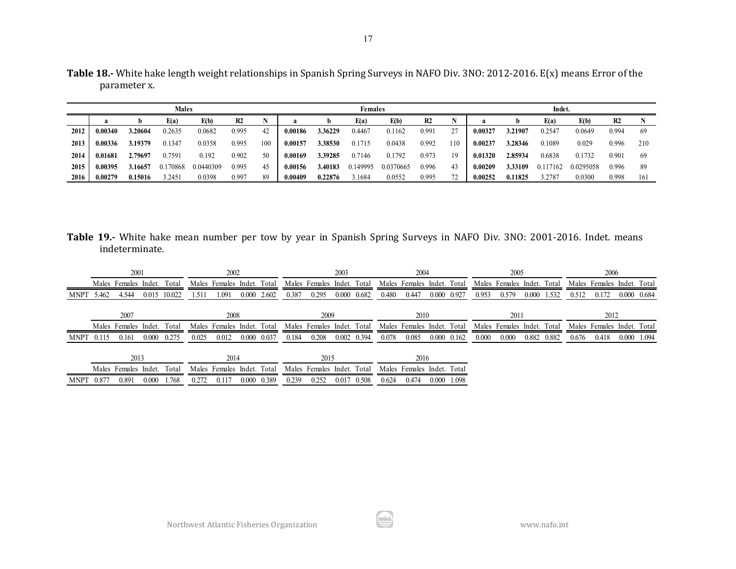|      |         |         | <b>Males</b> |           |       |     |         |         | <b>Females</b> |           |       |     |         |         | Indet.   |           |                |     |
|------|---------|---------|--------------|-----------|-------|-----|---------|---------|----------------|-----------|-------|-----|---------|---------|----------|-----------|----------------|-----|
|      |         |         | E(a)         | E(b)      | R2    |     |         | b.      | E(a)           | E(b)      | R2    |     |         |         | E(a)     | E(b)      | R <sub>2</sub> |     |
| 2012 | 0.00340 | 3.20604 | 0.2635       | 0.0682    | 0.995 | 42  | 0.00186 | 3.36229 | 0.4467         | 0.1162    | 0.991 | 27  | 0.00327 | 3.21907 | 0.2547   | 0.0649    | 0.994          | 69  |
| 2013 | 0.00336 | 3.19379 | 0.1347       | 0.0358    | 0.995 | 100 | 0.00157 | 3.38530 | 0.1715         | 0.0438    | 0.992 | 110 | 0.00237 | 3.28346 | 0.1089   | 0.029     | 0.996          | 210 |
| 2014 | 0.01681 | 2.79697 | 0.7591       | 0.192     | 0.902 | 50  | 0.00169 | 3.39285 | 0.7146         | 0.1792    | 0.973 | 19  | 0.01320 | 2.85934 | 0.6838   | 0.1732    | 0.901          | 69  |
| 2015 | 0.00395 | 3.16657 | 0.170868     | 0.0440309 | 0.995 | 45  | 0.00156 | 3.40183 | 0.149995       | 0.0370665 | 0.996 | 43  | 0.00209 | 3.33109 | 0.117162 | 0.0295058 | 0.996          | 89  |
| 2016 | 0.00279 | 0.15016 | .2451        | 0.0398    | 0.997 | 89  | 0.00409 | 0.22876 | 3.1684         | 0.0552    | 0.995 | 72  | 0.00252 | 0.11825 | 3.2787   | 0.0300    | 0.998          | 161 |

**Table 19.-** White hake mean number per tow by year in Spanish Spring Surveys in NAFO Div. 3NO: 2001-2016. Indet. means indeterminate.

|            | 2001<br>Males Females Indet. |                                                    |              |       |       | 2002                       |                    |       |                            | 2003                       |                     |       | 2004                       |                            |       |       | 2005                       |             |       | 2006                       |             |  |
|------------|------------------------------|----------------------------------------------------|--------------|-------|-------|----------------------------|--------------------|-------|----------------------------|----------------------------|---------------------|-------|----------------------------|----------------------------|-------|-------|----------------------------|-------------|-------|----------------------------|-------------|--|
|            |                              |                                                    |              | Total |       | Males Females Indet. Total |                    |       | Males Females Indet. Total |                            |                     |       | Males Females Indet. Total |                            |       |       | Males Females Indet. Total |             |       | Males Females Indet. Total |             |  |
| MNPT 5.462 |                              | 4.544                                              | 0.015 10.022 |       | 1.511 | 1.091                      | $0.000\quad 2.602$ | 0.387 | 0.295                      |                            | $0.000 \quad 0.682$ | 0.480 | 0.447                      | 0.000 0.927                |       | 0.953 | 0.579                      | 0.000 1.532 | 0.512 | 0.172                      | 0.000 0.684 |  |
|            |                              | 2007<br>2008<br>Total                              |              |       |       |                            | 2009               |       |                            |                            | 2010                |       |                            |                            | 2011  |       |                            | 2012        |       |                            |             |  |
|            |                              | Males Females Indet. Total<br>Males Females Indet. |              |       |       | Males Females Indet. Total |                    |       |                            | Males Females Indet. Total |                     |       |                            | Males Females Indet. Total |       |       | Males Females Indet. Total |             |       |                            |             |  |
| MNPT 0.115 |                              | 0.161                                              | 0.000        | 0.275 | 0.025 | 0.012                      | 0.000 0.037        | 0.184 | 0.208                      |                            | 0.002 0.394         | 0.078 | 0.085                      | $0.000 \quad 0.162$        |       | 0.000 | 0.000                      | 0.882 0.882 | 0.676 | 0.418                      | 0.000 1.094 |  |
|            | 2013<br>2014                 |                                                    |              |       | 2015  |                            |                    |       | 2016                       |                            |                     |       |                            |                            |       |       |                            |             |       |                            |             |  |
|            |                              | Males Females Indet.                               |              | Total |       | Males Females Indet. Total |                    |       | Males Females Indet. Total |                            |                     |       | Males Females Indet. Total |                            |       |       |                            |             |       |                            |             |  |
| MNPT 0.877 |                              | 0.891                                              | 0.000        | 1.768 | 0.272 | 0.117                      | 0.000 0.389        | 0.239 | 0.252                      | 0.017                      | 0.508               | 0.624 | 0.474                      | 0.000                      | 1.098 |       |                            |             |       |                            |             |  |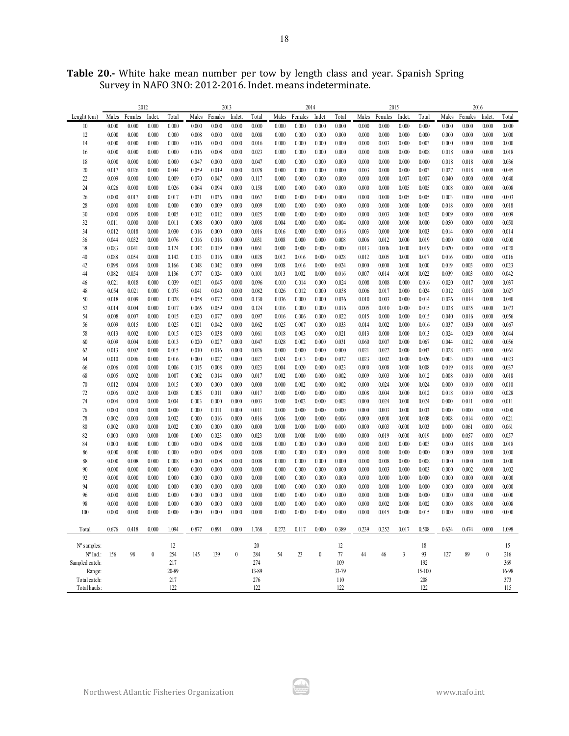|                      |       | 2012    |                  |       |       | 2013    |                  |       |       | 2014    |          |       |       | 2015    |                |        |       | 2016    |                  |       |
|----------------------|-------|---------|------------------|-------|-------|---------|------------------|-------|-------|---------|----------|-------|-------|---------|----------------|--------|-------|---------|------------------|-------|
| Lenght $(cm)$        | Males | Females | Indet            | Total | Males | Females | Indet            | Total | Males | Females | Indet    | Total | Males | Females | Indet.         | Total  | Males | Females | Indet.           | Total |
| 10                   | 0.000 | 0.000   | 0.000            | 0.000 | 0.000 | 0.000   | 0.000            | 0.000 | 0.000 | 0.000   | 0.000    | 0.000 | 0.000 | 0.000   | 0.000          | 0.000  | 0.000 | 0.000   | 0.000            | 0.000 |
| 12                   | 0.000 | 0.000   | 0.000            | 0.000 | 0.008 | 0.000   | 0.000            | 0.008 | 0.000 | 0.000   | 0.000    | 0.000 | 0.000 | 0.000   | 0.000          | 0.000  | 0.000 | 0.000   | 0.000            | 0.000 |
| 14                   | 0.000 | 0.000   | 0.000            | 0.000 | 0.016 | 0.000   | 0.000            | 0.016 | 0.000 | 0.000   | 0.000    | 0.000 | 0.000 | 0.003   | 0.000          | 0.003  | 0.000 | 0.000   | 0.000            | 0.000 |
| 16                   | 0.000 | 0.000   | 0.000            | 0.000 | 0.016 | 0.008   | 0.000            | 0.023 | 0.000 | 0.000   | 0.000    | 0.000 | 0.000 | 0.008   | 0.000          | 0.008  | 0.018 | 0.000   | 0.000            | 0.018 |
| 18                   | 0.000 | 0.000   | 0.000            | 0.000 | 0.047 | 0.000   | 0.000            | 0.047 | 0.000 | 0.000   | 0.000    | 0.000 | 0.000 | 0.000   | 0.000          | 0.000  | 0.018 | 0.018   | 0.000            | 0.036 |
| 20                   | 0.017 | 0.026   | 0.000            | 0.044 | 0.059 | 0.019   | 0.000            | 0.078 | 0.000 | 0.000   | 0.000    | 0.000 | 0.003 | 0.000   | 0.000          | 0.003  | 0.027 | 0.018   | 0.000            | 0.045 |
| 22                   | 0.009 | 0.000   | 0.000            | 0.009 | 0.070 | 0.047   | 0.000            | 0.117 | 0.000 | 0.000   | 0.000    | 0.000 | 0.000 | 0.000   | 0.007          | 0.007  | 0.040 | 0.000   | 0.000            | 0.040 |
| 24                   | 0.026 | 0.000   | 0.000            | 0.026 | 0.064 | 0.094   | 0.000            | 0.158 | 0.000 | 0.000   | 0.000    | 0.000 | 0.000 | 0.000   | 0.005          | 0.005  | 0.008 | 0.000   | 0.000            | 0.008 |
| 26                   | 0.000 | 0.017   | 0.000            | 0.017 | 0.031 | 0.036   | 0.000            | 0.067 | 0.000 | 0.000   | 0.000    | 0.000 | 0.000 | 0.000   |                | 0.005  | 0.003 | 0.000   | 0.000            | 0.003 |
| 28                   | 0.000 | 0.000   | 0.000            | 0.000 | 0.000 | 0.009   | 0.000            | 0.009 | 0.000 | 0.000   | 0.000    | 0.000 | 0.000 | 0.000   | 0.005<br>0.000 | 0.000  | 0.018 | 0.000   | 0.000            | 0.018 |
| 30                   | 0.000 | 0.005   | 0.000            | 0.005 | 0.012 | 0.012   | 0.000            | 0.025 | 0.000 | 0.000   | 0.000    | 0.000 | 0.000 | 0.003   | 0.000          | 0.003  | 0.009 | 0.000   | 0.000            | 0.009 |
| 32                   | 0.011 | 0.000   | 0.000            | 0.011 | 0.008 | 0.000   | 0.000            | 0.008 | 0.004 | 0.000   | 0.000    | 0.004 | 0.000 | 0.000   | 0.000          | 0.000  | 0.050 | 0.000   | 0.000            | 0.050 |
| 34                   | 0.012 | 0.018   | 0.000            | 0.030 | 0.016 | 0.000   | 0.000            | 0.016 | 0.016 | 0.000   | 0.000    | 0.016 | 0.003 | 0.000   | 0.000          | 0.003  | 0.014 | 0.000   | 0.000            | 0.014 |
| 36                   | 0.044 | 0.032   | 0.000            | 0.076 | 0.016 | 0.016   | 0.000            | 0.031 | 0.008 | 0.000   | 0.000    | 0.008 | 0.006 | 0.012   | 0.000          | 0.019  | 0.000 | 0.000   | 0.000            | 0.000 |
| 38                   | 0.083 | 0.041   | 0.000            | 0.124 | 0.042 | 0.019   | 0.000            | 0.061 | 0.000 | 0.000   | 0.000    | 0.000 | 0.013 | 0.006   | 0.000          | 0.019  | 0.020 | 0.000   | 0.000            | 0.020 |
| 40                   | 0.088 | 0.054   | 0.000            | 0.142 | 0.013 | 0.016   | 0.000            | 0.028 | 0.012 | 0.016   | 0.000    | 0.028 | 0.012 | 0.005   | 0.000          | 0.017  | 0.016 | 0.000   | 0.000            | 0.016 |
| 42                   | 0.098 | 0.068   | 0.000            | 0.166 | 0.048 | 0.042   | 0.000            | 0.090 | 0.008 | 0.016   | 0.000    | 0.024 | 0.000 | 0.000   | 0.000          | 0.000  | 0.019 | 0.003   | 0.000            | 0.023 |
| 44                   | 0.082 | 0.054   | 0.000            | 0.136 | 0.077 | 0.024   | 0.000            | 0.101 | 0.013 | 0.002   | 0.000    | 0.016 | 0.007 | 0.014   | 0.000          | 0.022  | 0.039 | 0.003   | 0.000            | 0.042 |
| 46                   | 0.021 | 0.018   | 0.000            | 0.039 | 0.051 | 0.045   | 0.000            | 0.096 | 0.010 | 0.014   | 0.000    | 0.024 | 0.008 | 0.008   | 0.000          | 0.016  | 0.020 | 0.017   | 0.000            | 0.037 |
| 48                   | 0.054 | 0.021   | 0.000            | 0.075 | 0.041 | 0.040   | 0.000            | 0.082 | 0.026 | 0.012   | 0.000    | 0.038 | 0.006 | 0.017   | 0.000          | 0.024  | 0.012 | 0.015   | 0.000            | 0.027 |
| 50                   | 0.018 | 0.009   | 0.000            | 0.028 | 0.058 | 0.072   | 0.000            | 0.130 | 0.036 | 0.000   | 0.000    | 0.036 | 0.010 | 0.003   | 0.000          | 0.014  | 0.026 | 0.014   | 0.000            | 0.040 |
| 52                   | 0.014 | 0.004   | 0.000            | 0.017 | 0.065 | 0.059   | 0.000            | 0.124 | 0.016 | 0.000   | 0.000    | 0.016 | 0.005 | 0.010   | 0.000          | 0.015  | 0.038 | 0.035   | 0.000            | 0.073 |
| 54                   | 0.008 | 0.007   | 0.000            | 0.015 | 0.020 | 0.077   | 0.000            | 0.097 | 0.016 | 0.006   | 0.000    | 0.022 | 0.015 | 0.000   | 0.000          | 0.015  | 0.040 | 0.016   | 0.000            | 0.056 |
| 56                   | 0.009 | 0.015   | 0.000            | 0.025 | 0.021 | 0.042   | 0.000            | 0.062 | 0.025 | 0.007   | 0.000    | 0.033 | 0.014 | 0.002   | 0.000          | 0.016  | 0.037 | 0.030   | 0.000            | 0.067 |
| 58                   | 0.013 | 0.002   | 0.000            | 0.015 | 0.023 | 0.038   | 0.000            | 0.061 | 0.018 | 0.003   | 0.000    | 0.021 | 0.013 | 0.000   | 0.000          | 0.013  | 0.024 | 0.020   | 0.000            | 0.044 |
| 60                   | 0.009 | 0.004   | 0.000            | 0.013 | 0.020 | 0.027   | 0.000            | 0.047 | 0.028 | 0.002   | 0.000    | 0.031 | 0.060 | 0.007   | 0.000          | 0.067  | 0.044 | 0.012   | 0.000            | 0.056 |
| 62                   | 0.013 | 0.002   | 0.000            | 0.015 | 0.010 | 0.016   | 0.000            | 0.026 | 0.000 | 0.000   | 0.000    | 0.000 | 0.021 | 0.022   | 0.000          | 0.043  | 0.028 | 0.033   | 0.000            | 0.061 |
| 64                   | 0.010 | 0.006   | 0.000            | 0.016 | 0.000 | 0.027   | 0.000            | 0.027 | 0.024 | 0.013   | 0.000    | 0.037 | 0.023 | 0.002   | 0.000          | 0.026  | 0.003 | 0.020   | 0.000            | 0.023 |
| 66                   | 0.006 | 0.000   | 0.000            | 0.006 | 0.015 | 0.008   | 0.000            | 0.023 | 0.004 | 0.020   | 0.000    | 0.023 | 0.000 | 0.008   | 0.000          | 0.008  | 0.019 | 0.018   | 0.000            | 0.037 |
| 68                   | 0.005 | 0.002   | 0.000            | 0.007 | 0.002 | 0.014   | 0.000            | 0.017 | 0.002 | 0.000   | 0.000    | 0.002 | 0.009 | 0.003   | 0.000          | 0.012  | 0.008 | 0.010   | 0.000            | 0.018 |
| 70                   | 0.012 | 0.004   | 0.000            | 0.015 | 0.000 | 0.000   | 0.000            | 0.000 | 0.000 | 0.002   | 0.000    | 0.002 | 0.000 | 0.024   | 0.000          | 0.024  | 0.000 | 0.010   | 0.000            | 0.010 |
| 72                   | 0.006 | 0.002   | 0.000            | 0.008 | 0.005 | 0.011   | 0.000            | 0.017 | 0.000 | 0.000   | 0.000    | 0.000 | 0.008 | 0.004   | 0.000          | 0.012  | 0.018 | 0.010   | 0.000            | 0.028 |
| 74                   | 0.004 | 0.000   | 0.000            | 0.004 | 0.003 | 0.000   | 0.000            | 0.003 | 0.000 | 0.002   | 0.000    | 0.002 | 0.000 | 0.024   | 0.000          | 0.024  | 0.000 | 0.011   | 0.000            | 0.011 |
| 76                   | 0.000 | 0.000   | 0.000            | 0.000 | 0.000 | 0.011   | 0.000            | 0.011 | 0.000 | 0.000   | 0.000    | 0.000 | 0.000 | 0.003   | 0.000          | 0.003  | 0.000 | 0.000   | 0.000            | 0.000 |
| 78                   | 0.002 | 0.000   | 0.000            | 0.002 | 0.000 | 0.016   | 0.000            | 0.016 | 0.006 | 0.000   | 0.000    | 0.006 | 0.000 | 0.008   | 0.000          | 0.008  | 0.008 | 0.014   | 0.000            | 0.021 |
| 80                   | 0.002 | 0.000   | 0.000            | 0.002 | 0.000 | 0.000   | 0.000            | 0.000 | 0.000 | 0.000   | 0.000    | 0.000 | 0.000 | 0.003   | 0.000          | 0.003  | 0.000 | 0.061   | 0.000            | 0.061 |
| 82                   | 0.000 | 0.000   | 0.000            | 0.000 | 0.000 | 0.023   | 0.000            | 0.023 | 0.000 | 0.000   | 0.000    | 0.000 | 0.000 | 0.019   | 0.000          | 0.019  | 0.000 | 0.057   | 0.000            | 0.057 |
| 84                   | 0.000 | 0.000   | 0.000            | 0.000 | 0.000 | 0.008   | 0.000            | 0.008 | 0.000 | 0.000   | 0.000    | 0.000 | 0.000 | 0.003   | 0.000          | 0.003  | 0.000 | 0.018   | 0.000            | 0.018 |
| 86                   | 0.000 | 0.000   | 0.000            | 0.000 | 0.000 | 0.008   | 0.000            | 0.008 | 0.000 | 0.000   | 0.000    | 0.000 | 0.000 | 0.000   | 0.000          | 0.000  | 0.000 | 0.000   | 0.000            | 0.000 |
| 88                   | 0.000 | 0.008   | 0.000            | 0.008 | 0.000 | 0.008   | 0.000            | 0.008 | 0.000 | 0.000   | 0.000    | 0.000 | 0.000 | 0.008   | 0.000          | 0.008  | 0.000 | 0.000   | 0.000            | 0.000 |
| 90                   | 0.000 | 0.000   | 0.000            | 0.000 | 0.000 | 0.000   | 0.000            | 0.000 | 0.000 | 0.000   | 0.000    | 0.000 | 0.000 | 0.003   | 0.000          | 0.003  | 0.000 | 0.002   | 0.000            | 0.002 |
| 92                   | 0.000 | 0.000   | 0.000            | 0.000 | 0.000 | 0.000   | 0.000            | 0.000 | 0.000 | 0.000   | 0.000    | 0.000 | 0.000 | 0.000   | 0.000          | 0.000  | 0.000 | 0.000   | 0.000            | 0.000 |
| 94                   | 0.000 | 0.000   | 0.000            | 0.000 | 0.000 | 0.000   | 0.000            | 0.000 | 0.000 | 0.000   | 0.000    | 0.000 | 0.000 | 0.000   | 0.000          | 0.000  | 0.000 | 0.000   | 0.000            | 0.000 |
| 96                   | 0.000 | 0.000   | 0.000            | 0.000 | 0.000 | 0.000   | 0.000            | 0.000 | 0.000 | 0.000   | 0.000    | 0.000 | 0.000 | 0.000   | 0.000          | 0.000  | 0.000 | 0.000   | 0.000            | 0.000 |
| 98                   | 0.000 | 0.000   | 0.000            | 0.000 | 0.000 | 0.000   | 0.000            | 0.000 | 0.000 | 0.000   | 0.000    | 0.000 | 0.000 | 0.002   | 0.000          | 0.002  | 0.000 | 0.008   | 0.000            | 0.008 |
| 100                  | 0.000 | 0.000   | 0.000            | 0.000 | 0.000 | 0.000   | 0.000            | 0.000 | 0.000 | 0.000   | 0.000    | 0.000 | 0.000 | 0.015   | 0.000          | 0.015  | 0.000 | 0.000   | 0.000            | 0.000 |
|                      |       |         |                  |       |       |         |                  |       |       |         |          |       |       |         |                |        |       |         |                  |       |
| Total                | 0.676 | 0.418   | 0.000            | 1.094 | 0.877 | 0.891   | 0.000            | 1.768 | 0.272 | 0.117   | 0.000    | 0.389 | 0.239 | 0.252   | 0.017          | 0.508  | 0.624 | 0.474   | 0.000            | 1.098 |
| $N^{\circ}$ samples: |       |         |                  | 12    |       |         |                  | 20    |       |         |          | 12    |       |         |                | 18     |       |         |                  | 15    |
| $N^{\circ}$ Ind.:    | 156   | 98      | $\boldsymbol{0}$ | 254   | 145   | 139     | $\boldsymbol{0}$ | 284   | 54    | 23      | $\bf{0}$ | 77    | 44    | 46      | 3              | 93     | 127   | 89      | $\boldsymbol{0}$ | 216   |
| Sampled catch:       |       |         |                  | 217   |       |         |                  | 274   |       |         |          | 109   |       |         |                | 192    |       |         |                  | 369   |
| Range:               |       |         |                  | 20-89 |       |         |                  | 13-89 |       |         |          | 33-79 |       |         |                | 15-100 |       |         |                  | 16-98 |
| Total catch:         |       |         |                  | 217   |       |         |                  | 276   |       |         |          | 110   |       |         |                | 208    |       |         |                  | 373   |
| Total hauls:         |       |         |                  | 122   |       |         |                  | 122   |       |         |          | 122   |       |         |                | 122    |       |         |                  | 115   |
|                      |       |         |                  |       |       |         |                  |       |       |         |          |       |       |         |                |        |       |         |                  |       |

ايناس<br>حيات

**Table 20.-** White hake mean number per tow by length class and year. Spanish Spring Survey in NAFO 3NO: 2012-2016. Indet. means indeterminate.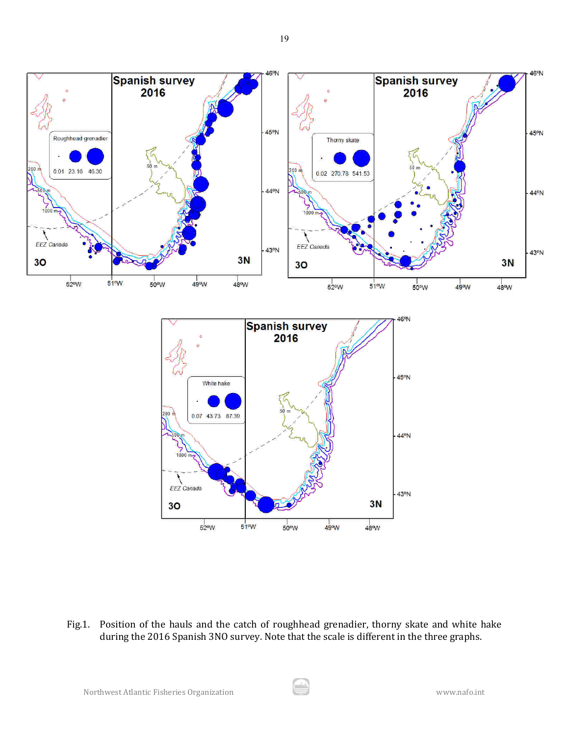

Fig.1. Position of the hauls and the catch of roughhead grenadier, thorny skate and white hake during the 2016 Spanish 3NO survey. Note that the scale is different in the three graphs.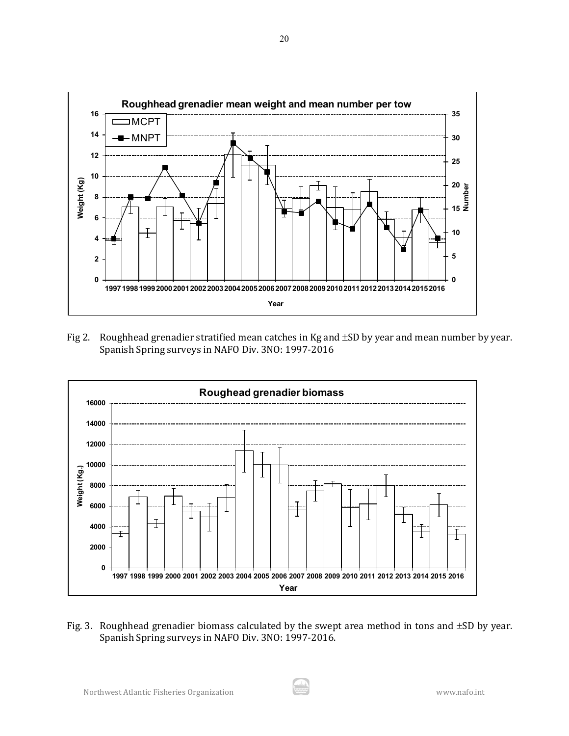![](_page_19_Figure_0.jpeg)

Fig 2. Roughhead grenadier stratified mean catches in Kg and ±SD by year and mean number by year. Spanish Spring surveys in NAFO Div. 3NO: 1997-2016

![](_page_19_Figure_2.jpeg)

Fig. 3. Roughhead grenadier biomass calculated by the swept area method in tons and  $\pm SD$  by year. Spanish Spring surveys in NAFO Div. 3NO: 1997-2016.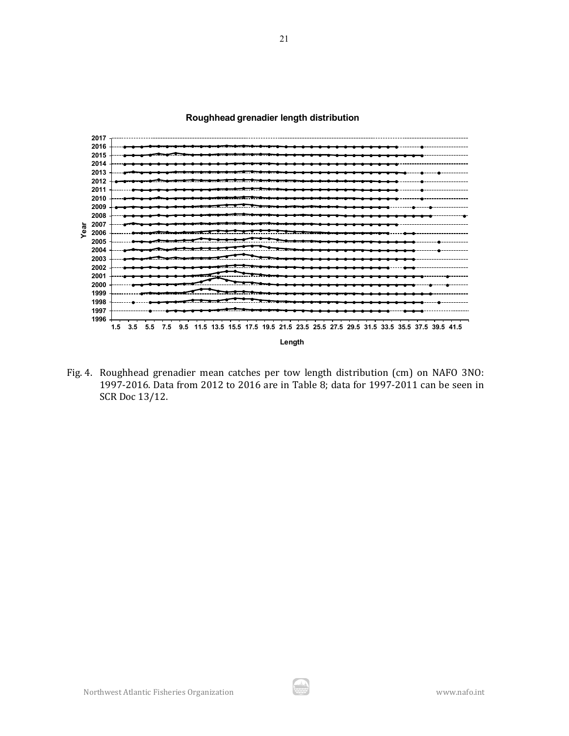**Roughhead grenadier length distribution**

![](_page_20_Figure_1.jpeg)

Fig. 4. Roughhead grenadier mean catches per tow length distribution (cm) on NAFO 3NO: 1997-2016. Data from 2012 to 2016 are in Table 8; data for 1997-2011 can be seen in SCR Doc 13/12.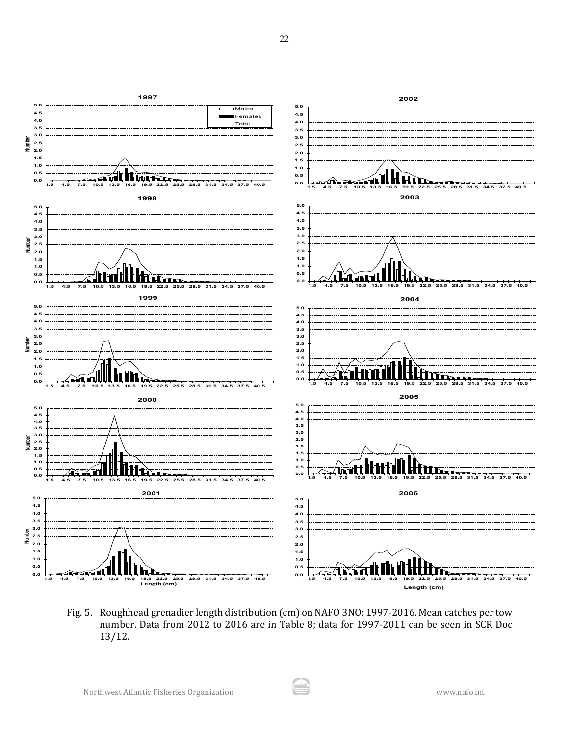![](_page_21_Figure_0.jpeg)

Fig. 5. Roughhead grenadier length distribution (cm) on NAFO 3NO: 1997-2016. Mean catches per tow number. Data from 2012 to 2016 are in Table 8; data for 1997-2011 can be seen in SCR Doc 13/12.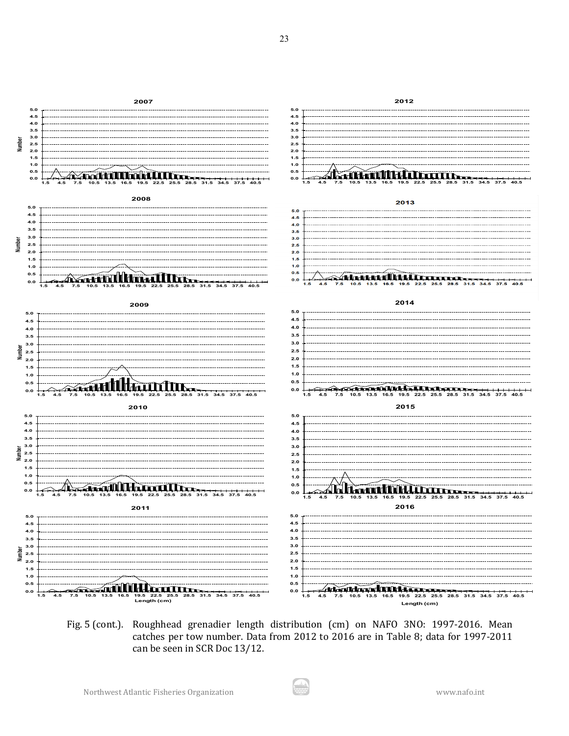![](_page_22_Figure_0.jpeg)

Fig. 5 (cont.). Roughhead grenadier length distribution (cm) on NAFO 3NO: 1997-2016. Mean catches per tow number. Data from 2012 to 2016 are in Table 8; data for 1997-2011 can be seen in SCR Doc 13/12.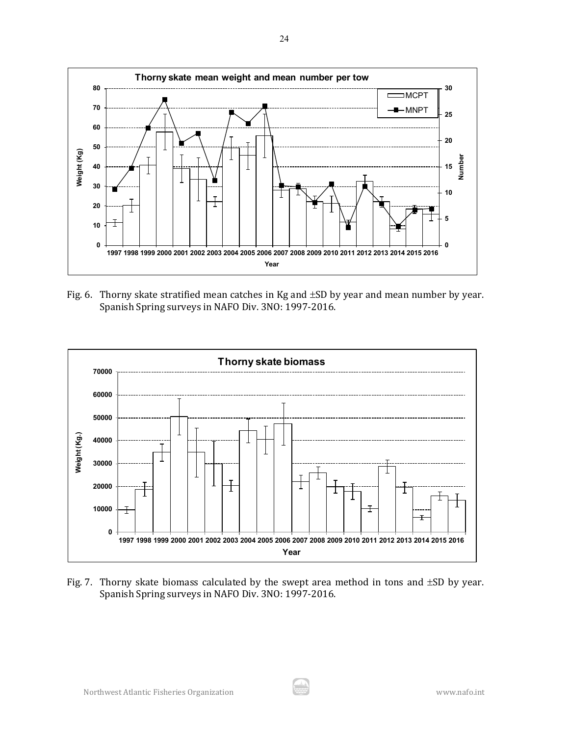![](_page_23_Figure_0.jpeg)

Fig. 6. Thorny skate stratified mean catches in Kg and  $\pm SD$  by year and mean number by year. Spanish Spring surveys in NAFO Div. 3NO: 1997-2016.

![](_page_23_Figure_2.jpeg)

Fig. 7. Thorny skate biomass calculated by the swept area method in tons and ±SD by year. Spanish Spring surveys in NAFO Div. 3NO: 1997-2016.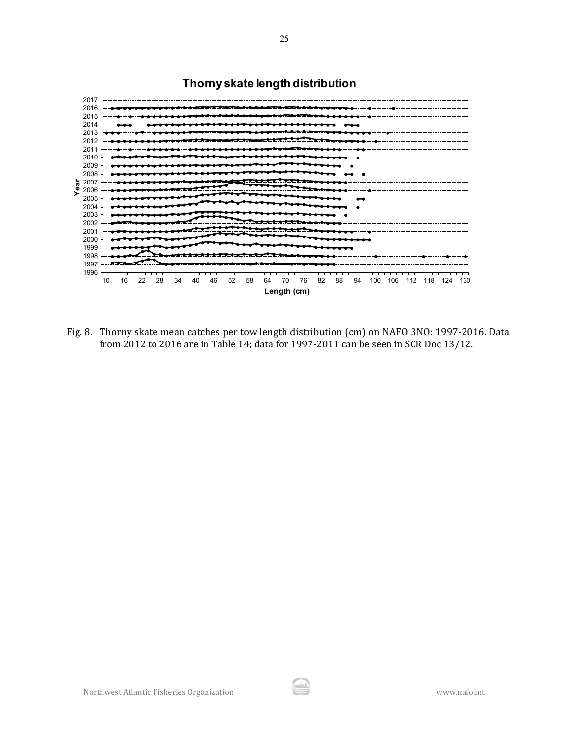![](_page_24_Figure_0.jpeg)

Fig. 8. Thorny skate mean catches per tow length distribution (cm) on NAFO 3NO: 1997-2016. Data from 2012 to 2016 are in Table 14; data for 1997-2011 can be seen in SCR Doc 13/12.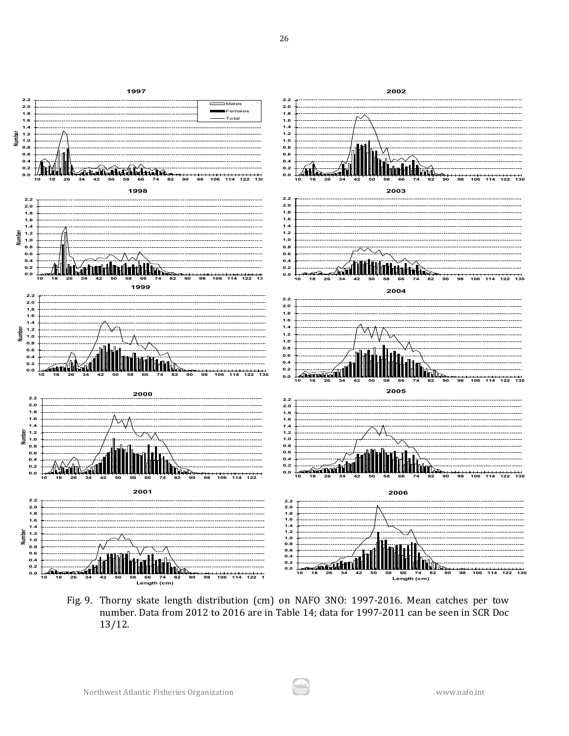![](_page_25_Figure_0.jpeg)

Fig. 9. Thorny skate length distribution (cm) on NAFO 3NO: 1997-2016. Mean catches per tow number. Data from 2012 to 2016 are in Table 14; data for 1997-2011 can be seen in SCR Doc 13/12.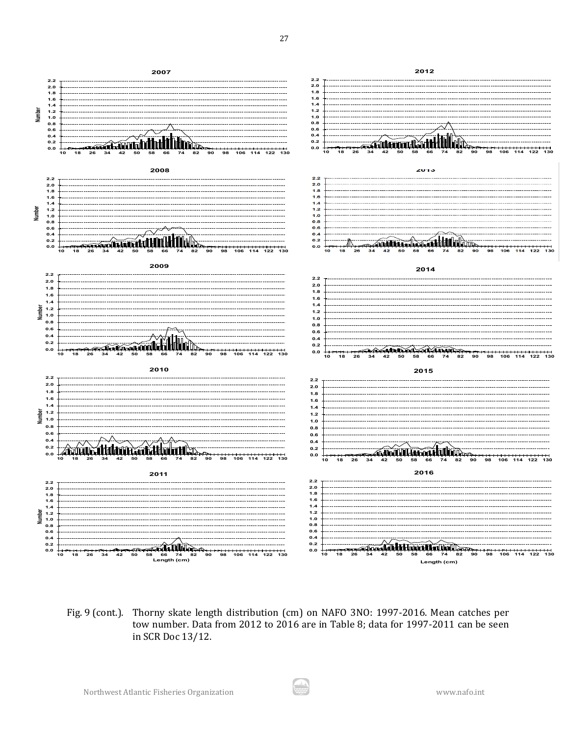![](_page_26_Figure_0.jpeg)

Fig. 9 (cont.). Thorny skate length distribution (cm) on NAFO 3NO: 1997-2016. Mean catches per tow number. Data from 2012 to 2016 are in Table 8; data for 1997-2011 can be seen in SCR Doc 13/12.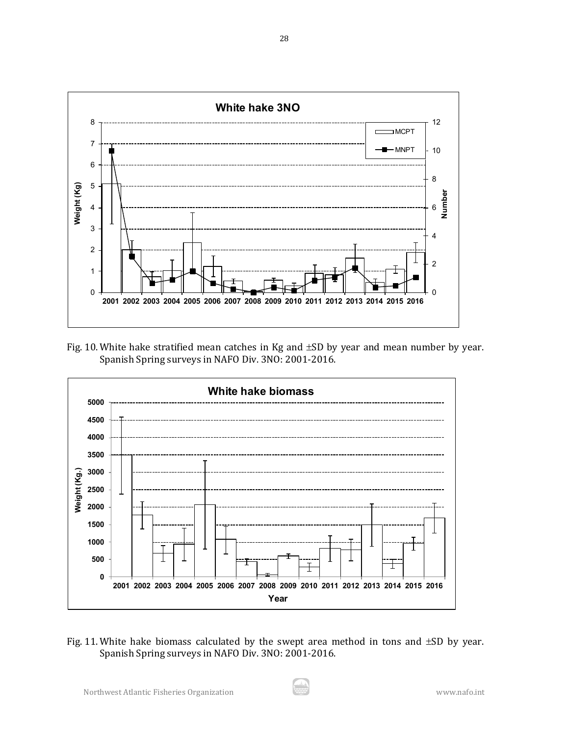![](_page_27_Figure_0.jpeg)

Fig. 10. White hake stratified mean catches in Kg and ±SD by year and mean number by year. Spanish Spring surveys in NAFO Div. 3NO: 2001-2016.

![](_page_27_Figure_2.jpeg)

Fig. 11. White hake biomass calculated by the swept area method in tons and  $\pm SD$  by year. Spanish Spring surveys in NAFO Div. 3NO: 2001-2016.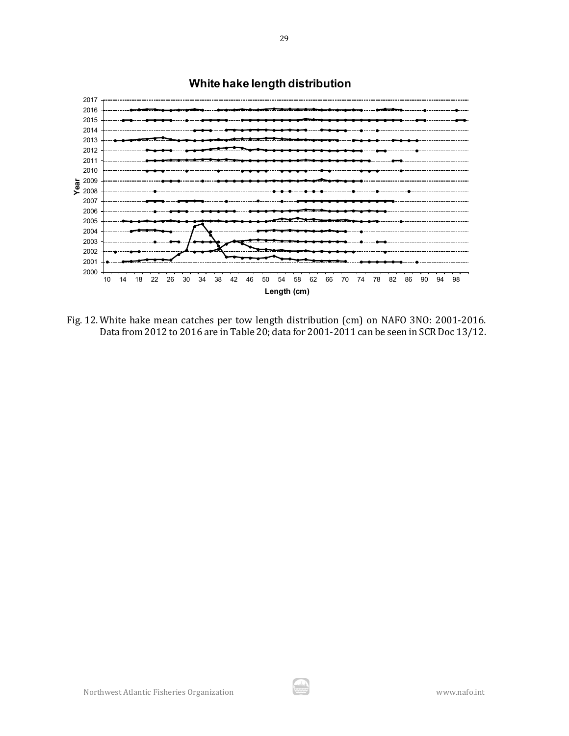![](_page_28_Figure_0.jpeg)

# **White hake length distribution**

Fig. 12. White hake mean catches per tow length distribution (cm) on NAFO 3NO: 2001-2016. Data from 2012 to 2016 are in Table 20; data for 2001-2011 can be seen in SCR Doc 13/12.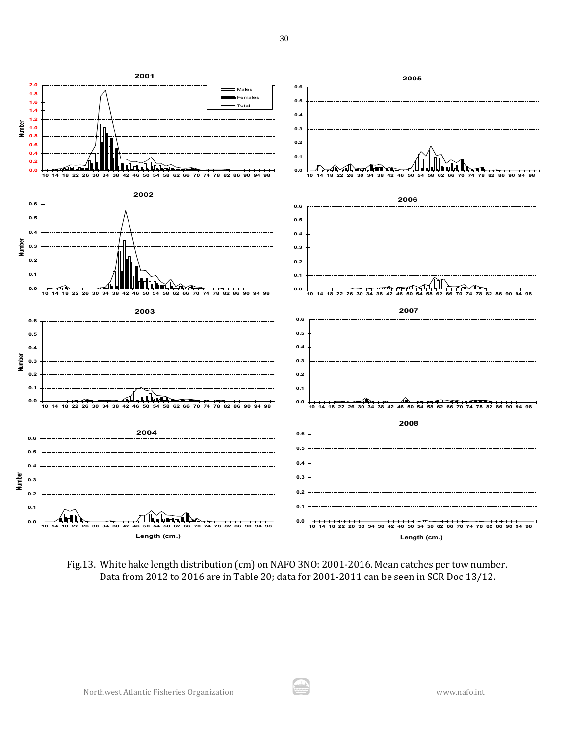![](_page_29_Figure_0.jpeg)

Fig.13. White hake length distribution (cm) on NAFO 3NO: 2001-2016. Mean catches per tow number. Data from 2012 to 2016 are in Table 20; data for 2001-2011 can be seen in SCR Doc 13/12.